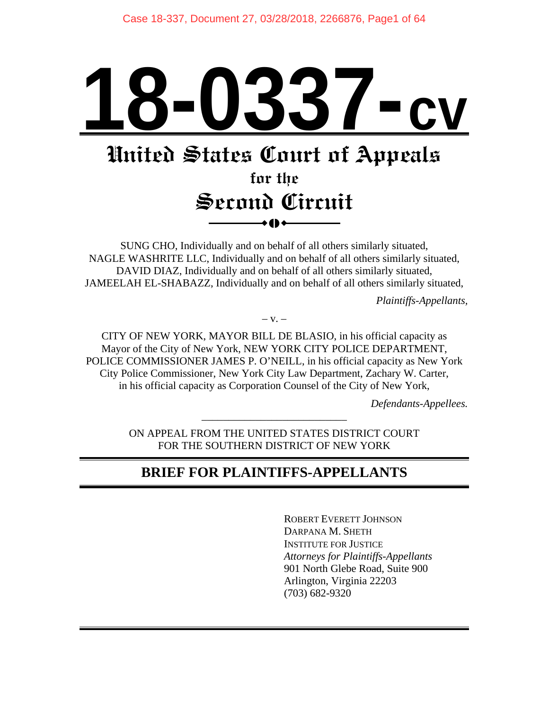# **18-0337-cv**

# **United States Court of Appeals**

# **for the Second Circuit**   $\bullet$  ()  $\bullet$

SUNG CHO, Individually and on behalf of all others similarly situated, NAGLE WASHRITE LLC, Individually and on behalf of all others similarly situated, DAVID DIAZ, Individually and on behalf of all others similarly situated, JAMEELAH EL-SHABAZZ, Individually and on behalf of all others similarly situated,

*Plaintiffs-Appellants,* 

 $-$  V.  $-$ 

CITY OF NEW YORK, MAYOR BILL DE BLASIO, in his official capacity as Mayor of the City of New York, NEW YORK CITY POLICE DEPARTMENT, POLICE COMMISSIONER JAMES P. O'NEILL, in his official capacity as New York City Police Commissioner, New York City Law Department, Zachary W. Carter, in his official capacity as Corporation Counsel of the City of New York,

*Defendants-Appellees.* 

ON APPEAL FROM THE UNITED STATES DISTRICT COURT FOR THE SOUTHERN DISTRICT OF NEW YORK

\_\_\_\_\_\_\_\_\_\_\_\_\_\_\_\_\_\_\_\_\_\_\_\_\_\_\_

# **BRIEF FOR PLAINTIFFS-APPELLANTS**

 ROBERT EVERETT JOHNSON DARPANA M. SHETH INSTITUTE FOR JUSTICE *Attorneys for Plaintiffs-Appellants*  901 North Glebe Road, Suite 900 Arlington, Virginia 22203 (703) 682-9320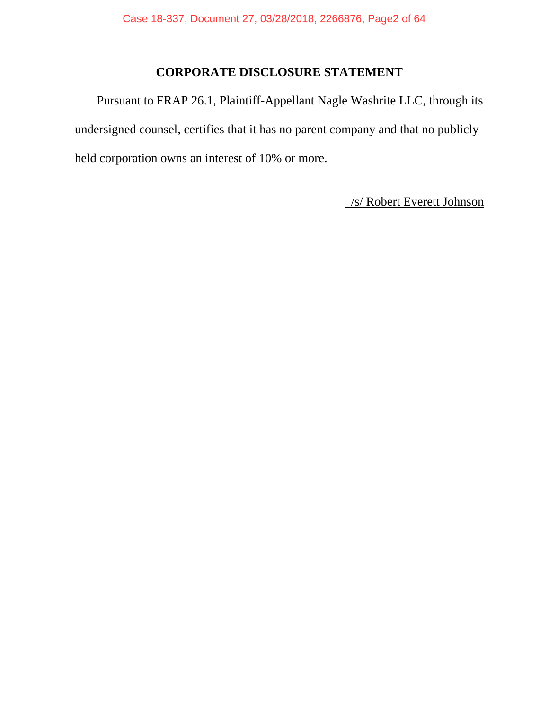## **CORPORATE DISCLOSURE STATEMENT**

 Pursuant to FRAP 26.1, Plaintiff-Appellant Nagle Washrite LLC, through its undersigned counsel, certifies that it has no parent company and that no publicly held corporation owns an interest of 10% or more.

/s/ Robert Everett Johnson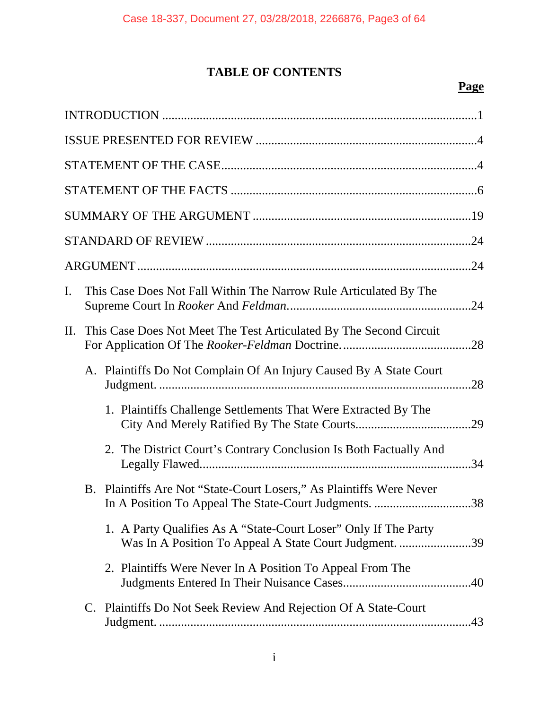## **TABLE OF CONTENTS**

## **Page**

| I.  | This Case Does Not Fall Within The Narrow Rule Articulated By The                                                                |
|-----|----------------------------------------------------------------------------------------------------------------------------------|
| II. | This Case Does Not Meet The Test Articulated By The Second Circuit                                                               |
|     | A. Plaintiffs Do Not Complain Of An Injury Caused By A State Court                                                               |
|     | 1. Plaintiffs Challenge Settlements That Were Extracted By The                                                                   |
|     | 2. The District Court's Contrary Conclusion Is Both Factually And                                                                |
|     | B. Plaintiffs Are Not "State-Court Losers," As Plaintiffs Were Never<br>In A Position To Appeal The State-Court Judgments.<br>38 |
|     | 1. A Party Qualifies As A "State-Court Loser" Only If The Party<br>Was In A Position To Appeal A State Court Judgment. 39        |
|     | 2. Plaintiffs Were Never In A Position To Appeal From The                                                                        |
|     | C. Plaintiffs Do Not Seek Review And Rejection Of A State-Court                                                                  |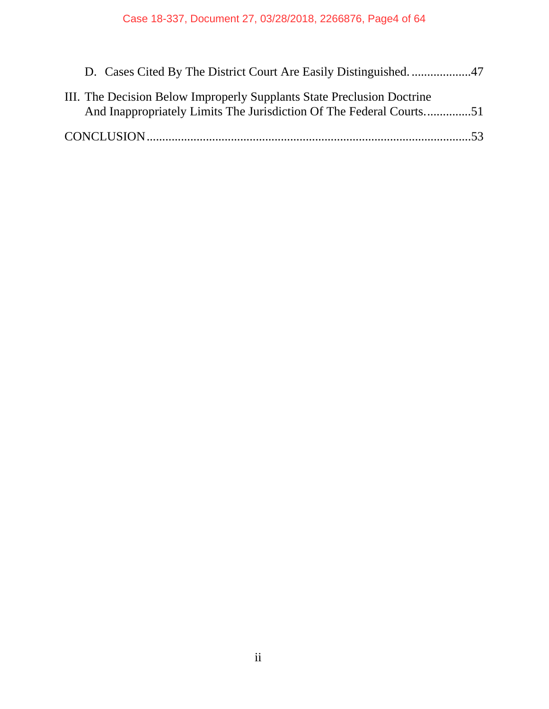| III. The Decision Below Improperly Supplants State Preclusion Doctrine |  |
|------------------------------------------------------------------------|--|
| And Inappropriately Limits The Jurisdiction Of The Federal Courts51    |  |
|                                                                        |  |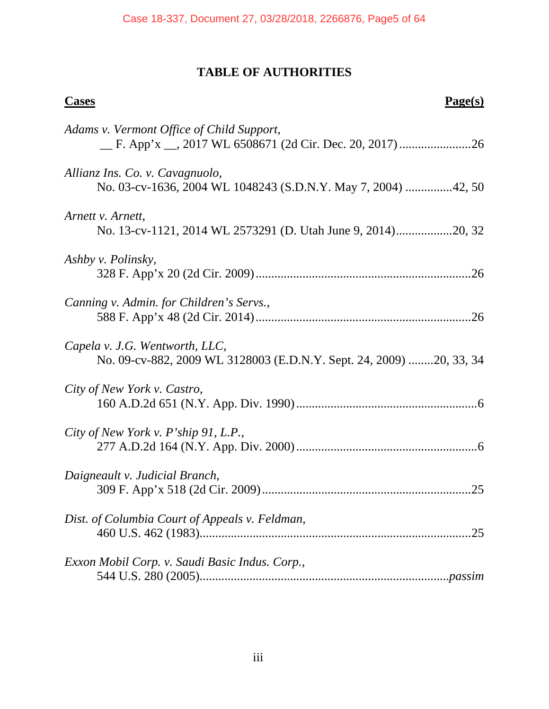## **TABLE OF AUTHORITIES**

# **Cases** Page(s) *Adams v. Vermont Office of Child Support*, \_\_ F. App'x \_\_, 2017 WL 6508671 (2d Cir. Dec. 20, 2017) ....................... 26 *Allianz Ins. Co. v. Cavagnuolo*, No. 03-cv-1636, 2004 WL 1048243 (S.D.N.Y. May 7, 2004) ............... 42, 50 *Arnett v. Arnett*, No. 13-cv-1121, 2014 WL 2573291 (D. Utah June 9, 2014) .................. 20, 32 *Ashby v. Polinsky*, 328 F. App'x 20 (2d Cir. 2009) ..................................................................... 26 *Canning v. Admin. for Children's Servs.*, 588 F. App'x 48 (2d Cir. 2014) ..................................................................... 26 *Capela v. J.G. Wentworth, LLC*, No. 09-cv-882, 2009 WL 3128003 (E.D.N.Y. Sept. 24, 2009) ........ 20, 33, 34 *City of New York v. Castro*, 160 A.D.2d 651 (N.Y. App. Div. 1990) .......................................................... 6 *City of New York v. P'ship 91, L.P.*, 277 A.D.2d 164 (N.Y. App. Div. 2000) .......................................................... 6 *Daigneault v. Judicial Branch*, 309 F. App'x 518 (2d Cir. 2009) ................................................................... 25 *Dist. of Columbia Court of Appeals v. Feldman*, 460 U.S. 462 (1983)....................................................................................... 25 *Exxon Mobil Corp. v. Saudi Basic Indus. Corp.*, 544 U.S. 280 (2005)................................................................................*passim*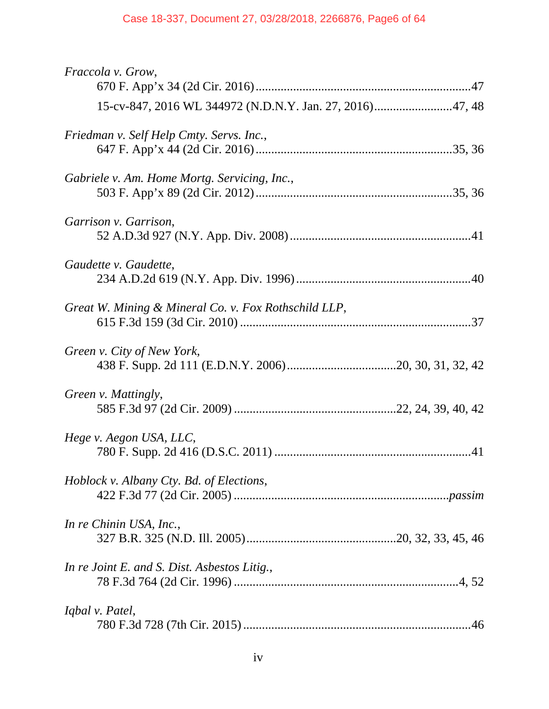## Case 18-337, Document 27, 03/28/2018, 2266876, Page6 of 64

| Fraccola v. Grow,                                        |
|----------------------------------------------------------|
| 15-cv-847, 2016 WL 344972 (N.D.N.Y. Jan. 27, 2016)47, 48 |
| Friedman v. Self Help Cmty. Servs. Inc.,                 |
| Gabriele v. Am. Home Mortg. Servicing, Inc.,             |
| Garrison v. Garrison,                                    |
| Gaudette v. Gaudette,                                    |
| Great W. Mining & Mineral Co. v. Fox Rothschild LLP,     |
| Green v. City of New York,                               |
| Green v. Mattingly,                                      |
| Hege v. Aegon USA, LLC,                                  |
| Hoblock v. Albany Cty. Bd. of Elections,                 |
| In re Chinin USA, Inc.,                                  |
| In re Joint E. and S. Dist. Asbestos Litig.,             |
| Iqbal v. Patel,                                          |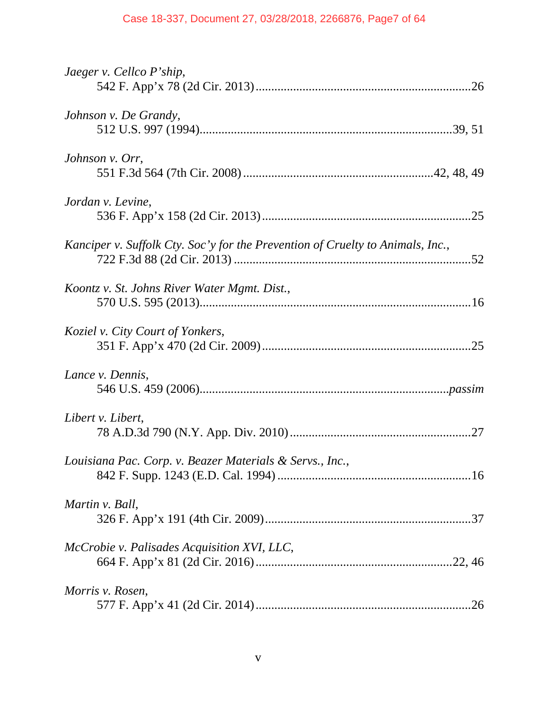## Case 18-337, Document 27, 03/28/2018, 2266876, Page7 of 64

| Jaeger v. Cellco P'ship,                                                       |
|--------------------------------------------------------------------------------|
| Johnson v. De Grandy,                                                          |
| Johnson v. Orr,                                                                |
| Jordan v. Levine,                                                              |
| Kanciper v. Suffolk Cty. Soc'y for the Prevention of Cruelty to Animals, Inc., |
| Koontz v. St. Johns River Water Mgmt. Dist.,                                   |
| Koziel v. City Court of Yonkers,                                               |
| Lance v. Dennis,                                                               |
| Libert v. Libert,                                                              |
| Louisiana Pac. Corp. v. Beazer Materials & Servs., Inc.,                       |
| Martin v. Ball,                                                                |
| McCrobie v. Palisades Acquisition XVI, LLC,                                    |
| Morris v. Rosen,                                                               |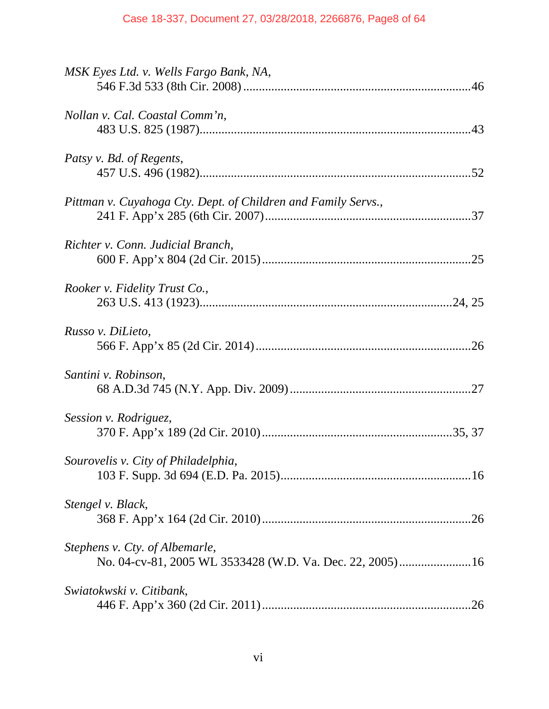| MSK Eyes Ltd. v. Wells Fargo Bank, NA,                        |
|---------------------------------------------------------------|
| Nollan v. Cal. Coastal Comm'n,                                |
| Patsy v. Bd. of Regents,                                      |
| Pittman v. Cuyahoga Cty. Dept. of Children and Family Servs., |
| Richter v. Conn. Judicial Branch,                             |
| Rooker v. Fidelity Trust Co.,                                 |
| Russo v. DiLieto,                                             |
| Santini v. Robinson,                                          |
| Session v. Rodriguez,                                         |
| Sourovelis v. City of Philadelphia,                           |
| Stengel v. Black,                                             |
| Stephens v. Cty. of Albemarle,                                |
| Swiatokwski v. Citibank,                                      |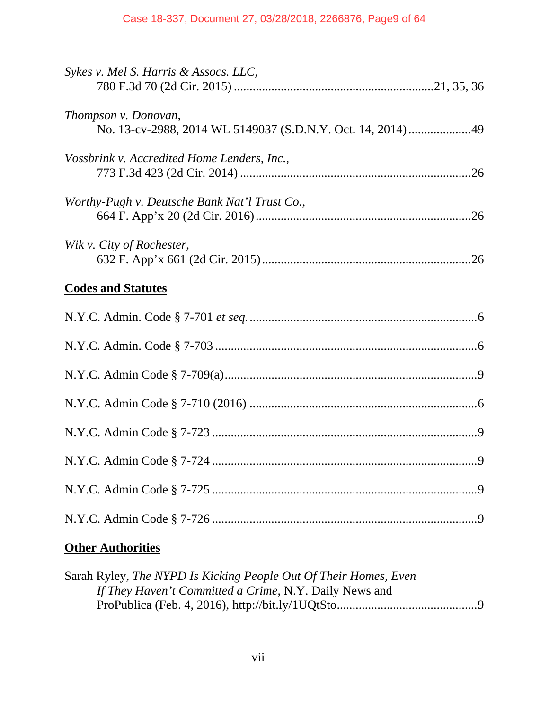| Sykes v. Mel S. Harris & Assocs. LLC,                                               |
|-------------------------------------------------------------------------------------|
| Thompson v. Donovan,<br>No. 13-cv-2988, 2014 WL 5149037 (S.D.N.Y. Oct. 14, 2014) 49 |
| Vossbrink v. Accredited Home Lenders, Inc.,                                         |
| Worthy-Pugh v. Deutsche Bank Nat'l Trust Co.,                                       |
| Wik v. City of Rochester,                                                           |
|                                                                                     |
| <b>Codes and Statutes</b>                                                           |
|                                                                                     |
|                                                                                     |
|                                                                                     |
|                                                                                     |
|                                                                                     |
|                                                                                     |
|                                                                                     |
|                                                                                     |

## **Other Authorities**

| Sarah Ryley, The NYPD Is Kicking People Out Of Their Homes, Even |  |
|------------------------------------------------------------------|--|
| If They Haven't Committed a Crime, N.Y. Daily News and           |  |
|                                                                  |  |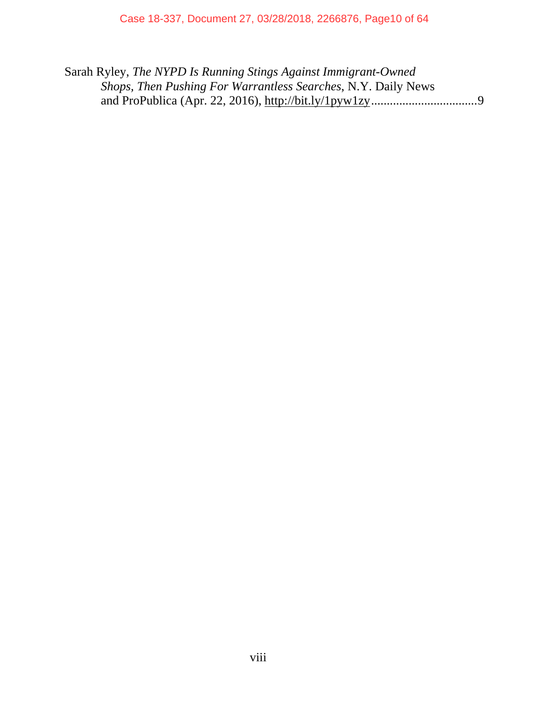Sarah Ryley, *The NYPD Is Running Stings Against Immigrant-Owned Shops, Then Pushing For Warrantless Searches*, N.Y. Daily News and ProPublica (Apr. 22, 2016), http://bit.ly/1pyw1zy .................................. 9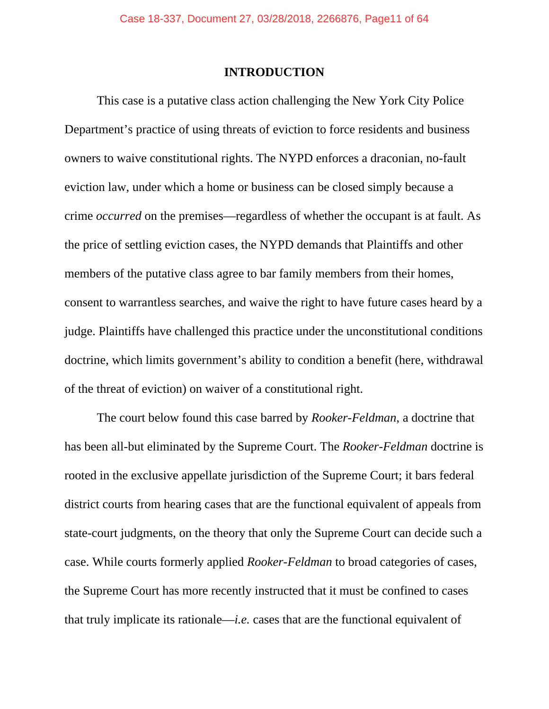## **INTRODUCTION**

 This case is a putative class action challenging the New York City Police Department's practice of using threats of eviction to force residents and business owners to waive constitutional rights. The NYPD enforces a draconian, no-fault eviction law, under which a home or business can be closed simply because a crime *occurred* on the premises—regardless of whether the occupant is at fault. As the price of settling eviction cases, the NYPD demands that Plaintiffs and other members of the putative class agree to bar family members from their homes, consent to warrantless searches, and waive the right to have future cases heard by a judge. Plaintiffs have challenged this practice under the unconstitutional conditions doctrine, which limits government's ability to condition a benefit (here, withdrawal of the threat of eviction) on waiver of a constitutional right.

 The court below found this case barred by *Rooker-Feldman*, a doctrine that has been all-but eliminated by the Supreme Court. The *Rooker-Feldman* doctrine is rooted in the exclusive appellate jurisdiction of the Supreme Court; it bars federal district courts from hearing cases that are the functional equivalent of appeals from state-court judgments, on the theory that only the Supreme Court can decide such a case. While courts formerly applied *Rooker-Feldman* to broad categories of cases, the Supreme Court has more recently instructed that it must be confined to cases that truly implicate its rationale—*i.e.* cases that are the functional equivalent of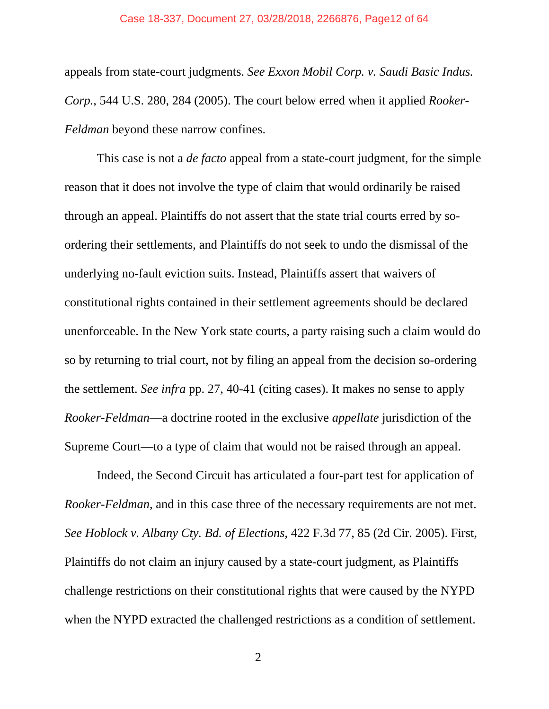#### Case 18-337, Document 27, 03/28/2018, 2266876, Page12 of 64

appeals from state-court judgments. *See Exxon Mobil Corp. v. Saudi Basic Indus. Corp.*, 544 U.S. 280, 284 (2005). The court below erred when it applied *Rooker-Feldman* beyond these narrow confines.

 This case is not a *de facto* appeal from a state-court judgment, for the simple reason that it does not involve the type of claim that would ordinarily be raised through an appeal. Plaintiffs do not assert that the state trial courts erred by soordering their settlements, and Plaintiffs do not seek to undo the dismissal of the underlying no-fault eviction suits. Instead, Plaintiffs assert that waivers of constitutional rights contained in their settlement agreements should be declared unenforceable. In the New York state courts, a party raising such a claim would do so by returning to trial court, not by filing an appeal from the decision so-ordering the settlement. *See infra* pp. 27, 40-41 (citing cases). It makes no sense to apply *Rooker-Feldman*—a doctrine rooted in the exclusive *appellate* jurisdiction of the Supreme Court—to a type of claim that would not be raised through an appeal.

 Indeed, the Second Circuit has articulated a four-part test for application of *Rooker-Feldman*, and in this case three of the necessary requirements are not met. *See Hoblock v. Albany Cty. Bd. of Elections*, 422 F.3d 77, 85 (2d Cir. 2005). First, Plaintiffs do not claim an injury caused by a state-court judgment, as Plaintiffs challenge restrictions on their constitutional rights that were caused by the NYPD when the NYPD extracted the challenged restrictions as a condition of settlement.

2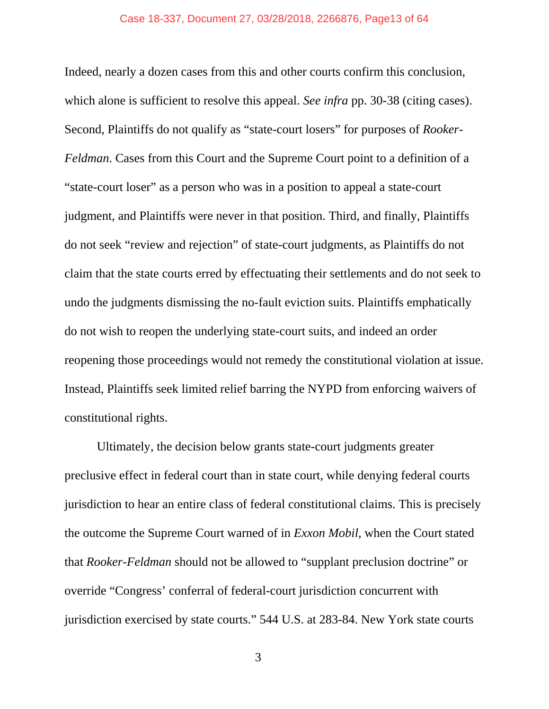#### Case 18-337, Document 27, 03/28/2018, 2266876, Page13 of 64

Indeed, nearly a dozen cases from this and other courts confirm this conclusion, which alone is sufficient to resolve this appeal. *See infra* pp. 30-38 (citing cases). Second, Plaintiffs do not qualify as "state-court losers" for purposes of *Rooker-Feldman*. Cases from this Court and the Supreme Court point to a definition of a "state-court loser" as a person who was in a position to appeal a state-court judgment, and Plaintiffs were never in that position. Third, and finally, Plaintiffs do not seek "review and rejection" of state-court judgments, as Plaintiffs do not claim that the state courts erred by effectuating their settlements and do not seek to undo the judgments dismissing the no-fault eviction suits. Plaintiffs emphatically do not wish to reopen the underlying state-court suits, and indeed an order reopening those proceedings would not remedy the constitutional violation at issue. Instead, Plaintiffs seek limited relief barring the NYPD from enforcing waivers of constitutional rights.

 Ultimately, the decision below grants state-court judgments greater preclusive effect in federal court than in state court, while denying federal courts jurisdiction to hear an entire class of federal constitutional claims. This is precisely the outcome the Supreme Court warned of in *Exxon Mobil*, when the Court stated that *Rooker-Feldman* should not be allowed to "supplant preclusion doctrine" or override "Congress' conferral of federal-court jurisdiction concurrent with jurisdiction exercised by state courts." 544 U.S. at 283-84. New York state courts

3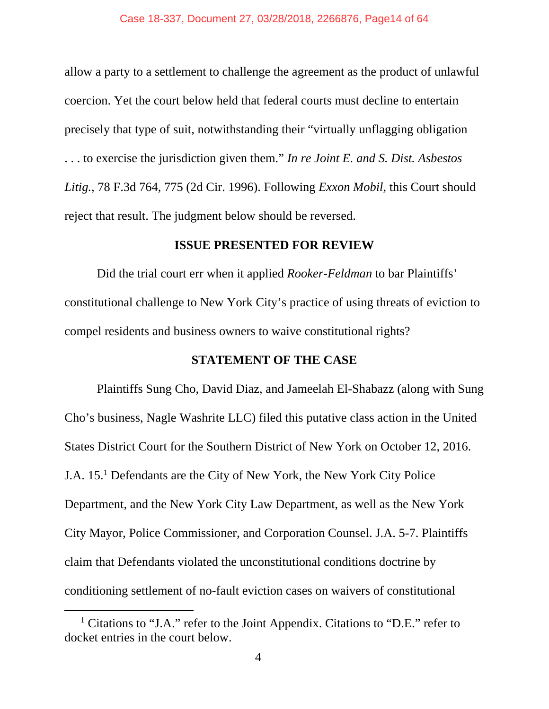allow a party to a settlement to challenge the agreement as the product of unlawful coercion. Yet the court below held that federal courts must decline to entertain precisely that type of suit, notwithstanding their "virtually unflagging obligation . . . to exercise the jurisdiction given them." *In re Joint E. and S. Dist. Asbestos Litig.*, 78 F.3d 764, 775 (2d Cir. 1996). Following *Exxon Mobil*, this Court should reject that result. The judgment below should be reversed.

#### **ISSUE PRESENTED FOR REVIEW**

 Did the trial court err when it applied *Rooker-Feldman* to bar Plaintiffs' constitutional challenge to New York City's practice of using threats of eviction to compel residents and business owners to waive constitutional rights?

## **STATEMENT OF THE CASE**

 Plaintiffs Sung Cho, David Diaz, and Jameelah El-Shabazz (along with Sung Cho's business, Nagle Washrite LLC) filed this putative class action in the United States District Court for the Southern District of New York on October 12, 2016. J.A. 15.<sup>1</sup> Defendants are the City of New York, the New York City Police Department, and the New York City Law Department, as well as the New York City Mayor, Police Commissioner, and Corporation Counsel. J.A. 5-7. Plaintiffs claim that Defendants violated the unconstitutional conditions doctrine by conditioning settlement of no-fault eviction cases on waivers of constitutional

 <sup>1</sup> <sup>1</sup> Citations to "J.A." refer to the Joint Appendix. Citations to "D.E." refer to docket entries in the court below.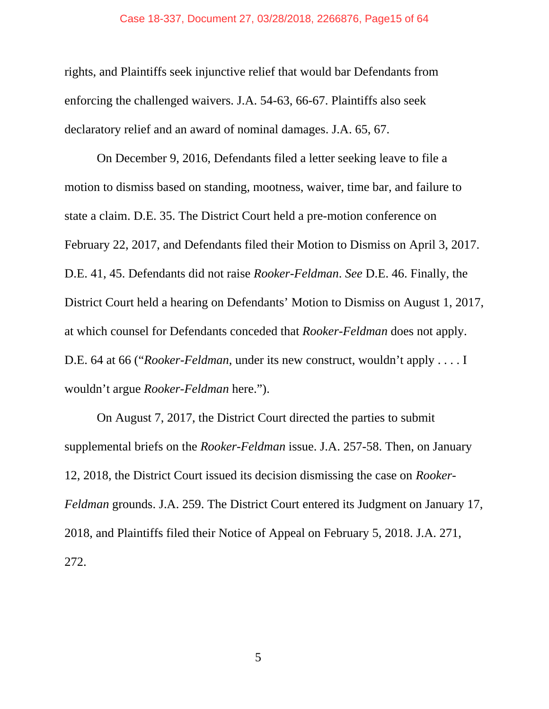#### Case 18-337, Document 27, 03/28/2018, 2266876, Page15 of 64

rights, and Plaintiffs seek injunctive relief that would bar Defendants from enforcing the challenged waivers. J.A. 54-63, 66-67. Plaintiffs also seek declaratory relief and an award of nominal damages. J.A. 65, 67.

 On December 9, 2016, Defendants filed a letter seeking leave to file a motion to dismiss based on standing, mootness, waiver, time bar, and failure to state a claim. D.E. 35. The District Court held a pre-motion conference on February 22, 2017, and Defendants filed their Motion to Dismiss on April 3, 2017. D.E. 41, 45. Defendants did not raise *Rooker-Feldman*. *See* D.E. 46. Finally, the District Court held a hearing on Defendants' Motion to Dismiss on August 1, 2017, at which counsel for Defendants conceded that *Rooker-Feldman* does not apply. D.E. 64 at 66 ("*Rooker-Feldman*, under its new construct, wouldn't apply . . . . I wouldn't argue *Rooker-Feldman* here.").

 On August 7, 2017, the District Court directed the parties to submit supplemental briefs on the *Rooker-Feldman* issue. J.A. 257-58. Then, on January 12, 2018, the District Court issued its decision dismissing the case on *Rooker-Feldman* grounds. J.A. 259. The District Court entered its Judgment on January 17, 2018, and Plaintiffs filed their Notice of Appeal on February 5, 2018. J.A. 271, 272.

 $\sim$  5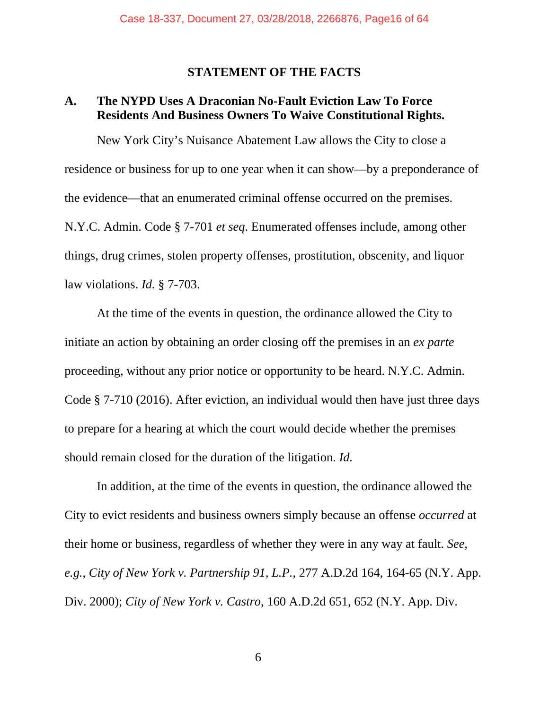#### **STATEMENT OF THE FACTS**

## **A. The NYPD Uses A Draconian No-Fault Eviction Law To Force Residents And Business Owners To Waive Constitutional Rights.**

 New York City's Nuisance Abatement Law allows the City to close a residence or business for up to one year when it can show—by a preponderance of the evidence—that an enumerated criminal offense occurred on the premises. N.Y.C. Admin. Code § 7-701 *et seq*. Enumerated offenses include, among other things, drug crimes, stolen property offenses, prostitution, obscenity, and liquor law violations. *Id.* § 7-703.

 At the time of the events in question, the ordinance allowed the City to initiate an action by obtaining an order closing off the premises in an *ex parte*  proceeding, without any prior notice or opportunity to be heard. N.Y.C. Admin. Code § 7-710 (2016). After eviction, an individual would then have just three days to prepare for a hearing at which the court would decide whether the premises should remain closed for the duration of the litigation. *Id.*

 In addition, at the time of the events in question, the ordinance allowed the City to evict residents and business owners simply because an offense *occurred* at their home or business, regardless of whether they were in any way at fault. *See*, *e.g.*, *City of New York v. Partnership 91, L.P.*, 277 A.D.2d 164, 164-65 (N.Y. App. Div. 2000); *City of New York v. Castro*, 160 A.D.2d 651, 652 (N.Y. App. Div.

 $\overline{6}$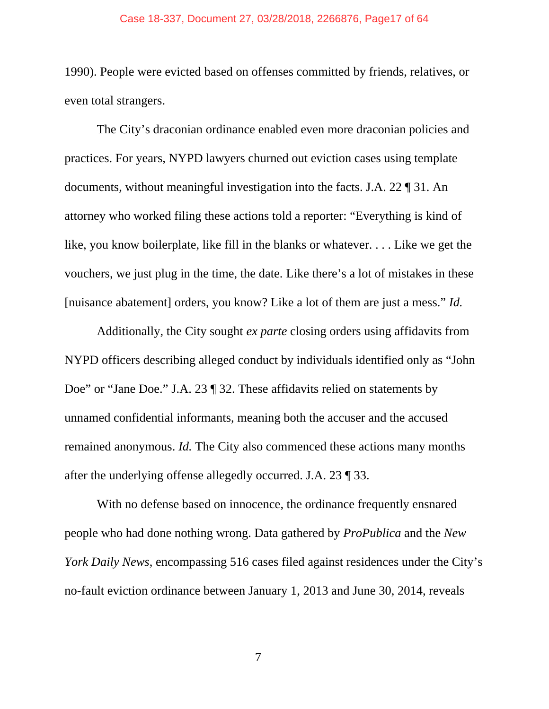#### Case 18-337, Document 27, 03/28/2018, 2266876, Page17 of 64

1990). People were evicted based on offenses committed by friends, relatives, or even total strangers.

 The City's draconian ordinance enabled even more draconian policies and practices. For years, NYPD lawyers churned out eviction cases using template documents, without meaningful investigation into the facts. J.A. 22 ¶ 31. An attorney who worked filing these actions told a reporter: "Everything is kind of like, you know boilerplate, like fill in the blanks or whatever. . . . Like we get the vouchers, we just plug in the time, the date. Like there's a lot of mistakes in these [nuisance abatement] orders, you know? Like a lot of them are just a mess." *Id.*

Additionally, the City sought *ex parte* closing orders using affidavits from NYPD officers describing alleged conduct by individuals identified only as "John Doe" or "Jane Doe." J.A. 23 ¶ 32. These affidavits relied on statements by unnamed confidential informants, meaning both the accuser and the accused remained anonymous. *Id.* The City also commenced these actions many months after the underlying offense allegedly occurred. J.A. 23 ¶ 33.

With no defense based on innocence, the ordinance frequently ensnared people who had done nothing wrong. Data gathered by *ProPublica* and the *New York Daily News*, encompassing 516 cases filed against residences under the City's no-fault eviction ordinance between January 1, 2013 and June 30, 2014, reveals

7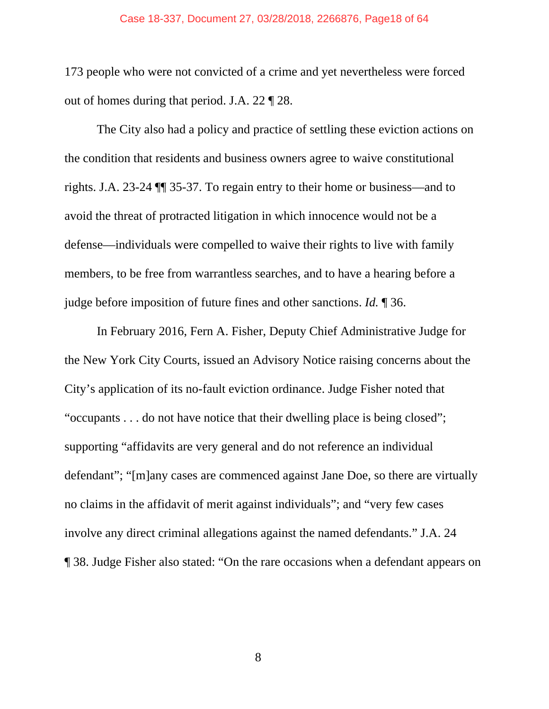173 people who were not convicted of a crime and yet nevertheless were forced out of homes during that period. J.A. 22 ¶ 28.

The City also had a policy and practice of settling these eviction actions on the condition that residents and business owners agree to waive constitutional rights. J.A. 23-24 ¶¶ 35-37. To regain entry to their home or business—and to avoid the threat of protracted litigation in which innocence would not be a defense—individuals were compelled to waive their rights to live with family members, to be free from warrantless searches, and to have a hearing before a judge before imposition of future fines and other sanctions. *Id.* ¶ 36.

In February 2016, Fern A. Fisher, Deputy Chief Administrative Judge for the New York City Courts, issued an Advisory Notice raising concerns about the City's application of its no-fault eviction ordinance. Judge Fisher noted that "occupants . . . do not have notice that their dwelling place is being closed"; supporting "affidavits are very general and do not reference an individual defendant"; "[m]any cases are commenced against Jane Doe, so there are virtually no claims in the affidavit of merit against individuals"; and "very few cases involve any direct criminal allegations against the named defendants." J.A. 24 ¶ 38. Judge Fisher also stated: "On the rare occasions when a defendant appears on

8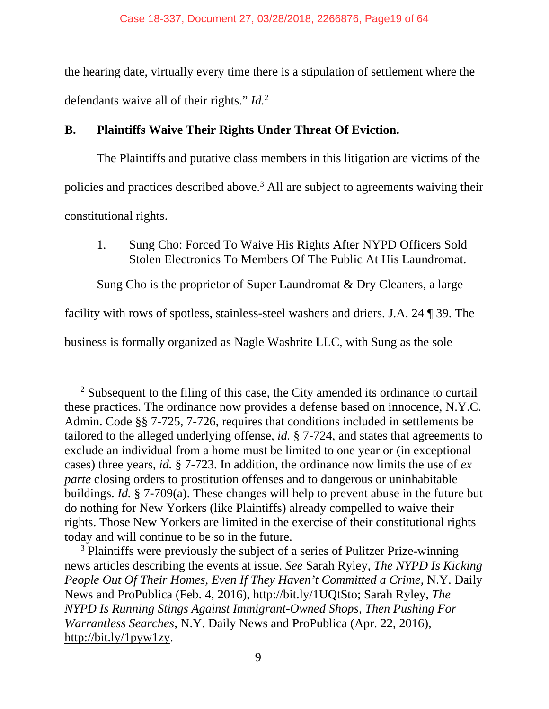the hearing date, virtually every time there is a stipulation of settlement where the defendants waive all of their rights." *Id.*<sup>2</sup>

## **B. Plaintiffs Waive Their Rights Under Threat Of Eviction.**

The Plaintiffs and putative class members in this litigation are victims of the policies and practices described above.<sup>3</sup> All are subject to agreements waiving their constitutional rights.

## 1. Sung Cho: Forced To Waive His Rights After NYPD Officers Sold Stolen Electronics To Members Of The Public At His Laundromat.

Sung Cho is the proprietor of Super Laundromat & Dry Cleaners, a large

facility with rows of spotless, stainless-steel washers and driers. J.A. 24 ¶ 39. The

business is formally organized as Nagle Washrite LLC, with Sung as the sole

<sup>&</sup>lt;sup>2</sup> Subsequent to the filing of this case, the City amended its ordinance to curtail these practices. The ordinance now provides a defense based on innocence, N.Y.C. Admin. Code §§ 7-725, 7-726, requires that conditions included in settlements be tailored to the alleged underlying offense, *id.* § 7-724, and states that agreements to exclude an individual from a home must be limited to one year or (in exceptional cases) three years, *id.* § 7-723. In addition, the ordinance now limits the use of *ex parte* closing orders to prostitution offenses and to dangerous or uninhabitable buildings. *Id.* § 7-709(a). These changes will help to prevent abuse in the future but do nothing for New Yorkers (like Plaintiffs) already compelled to waive their rights. Those New Yorkers are limited in the exercise of their constitutional rights today and will continue to be so in the future.

<sup>&</sup>lt;sup>3</sup> Plaintiffs were previously the subject of a series of Pulitzer Prize-winning news articles describing the events at issue. *See* Sarah Ryley, *The NYPD Is Kicking People Out Of Their Homes, Even If They Haven't Committed a Crime*, N.Y. Daily News and ProPublica (Feb. 4, 2016), http://bit.ly/1UQtSto; Sarah Ryley, *The NYPD Is Running Stings Against Immigrant-Owned Shops, Then Pushing For Warrantless Searches*, N.Y. Daily News and ProPublica (Apr. 22, 2016), http://bit.ly/1pyw1zy.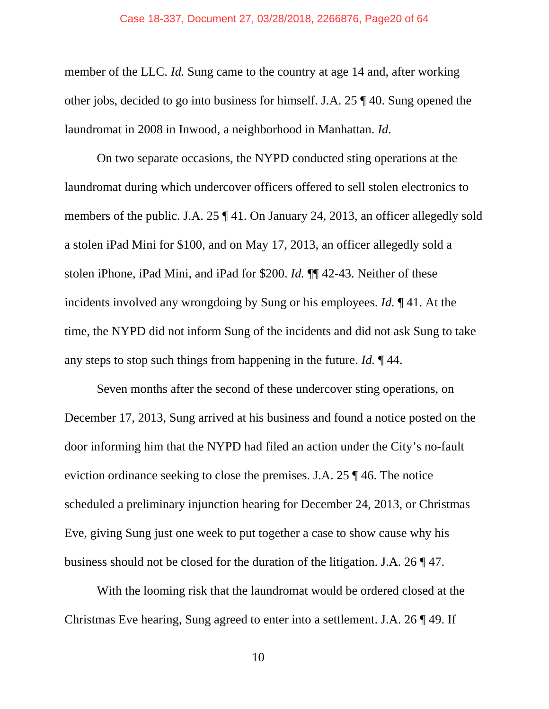#### Case 18-337, Document 27, 03/28/2018, 2266876, Page20 of 64

member of the LLC. *Id.* Sung came to the country at age 14 and, after working other jobs, decided to go into business for himself. J.A. 25 ¶ 40. Sung opened the laundromat in 2008 in Inwood, a neighborhood in Manhattan. *Id.* 

On two separate occasions, the NYPD conducted sting operations at the laundromat during which undercover officers offered to sell stolen electronics to members of the public. J.A. 25 ¶ 41. On January 24, 2013, an officer allegedly sold a stolen iPad Mini for \$100, and on May 17, 2013, an officer allegedly sold a stolen iPhone, iPad Mini, and iPad for \$200. *Id.* ¶¶ 42-43. Neither of these incidents involved any wrongdoing by Sung or his employees. *Id.* ¶ 41. At the time, the NYPD did not inform Sung of the incidents and did not ask Sung to take any steps to stop such things from happening in the future. *Id.* ¶ 44.

Seven months after the second of these undercover sting operations, on December 17, 2013, Sung arrived at his business and found a notice posted on the door informing him that the NYPD had filed an action under the City's no-fault eviction ordinance seeking to close the premises. J.A. 25 ¶ 46. The notice scheduled a preliminary injunction hearing for December 24, 2013, or Christmas Eve, giving Sung just one week to put together a case to show cause why his business should not be closed for the duration of the litigation. J.A. 26 ¶ 47.

With the looming risk that the laundromat would be ordered closed at the Christmas Eve hearing, Sung agreed to enter into a settlement. J.A. 26 ¶ 49. If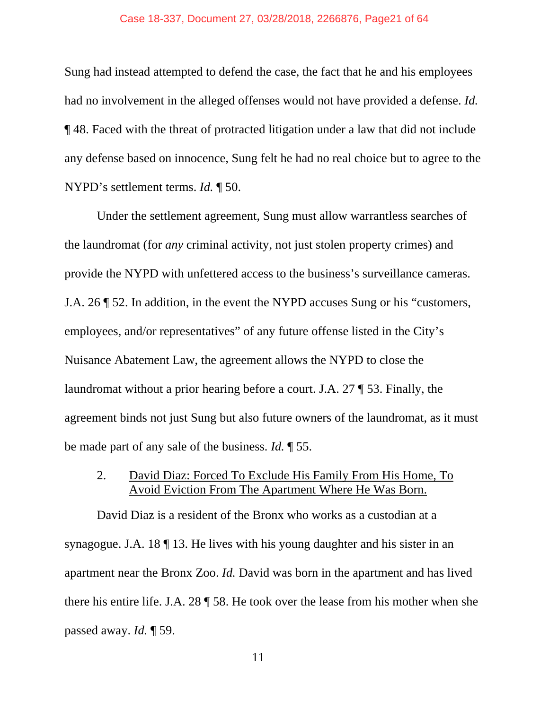#### Case 18-337, Document 27, 03/28/2018, 2266876, Page21 of 64

Sung had instead attempted to defend the case, the fact that he and his employees had no involvement in the alleged offenses would not have provided a defense. *Id.* ¶ 48. Faced with the threat of protracted litigation under a law that did not include any defense based on innocence, Sung felt he had no real choice but to agree to the NYPD's settlement terms. *Id.* ¶ 50.

Under the settlement agreement, Sung must allow warrantless searches of the laundromat (for *any* criminal activity, not just stolen property crimes) and provide the NYPD with unfettered access to the business's surveillance cameras. J.A. 26 ¶ 52. In addition, in the event the NYPD accuses Sung or his "customers, employees, and/or representatives" of any future offense listed in the City's Nuisance Abatement Law, the agreement allows the NYPD to close the laundromat without a prior hearing before a court. J.A. 27 ¶ 53. Finally, the agreement binds not just Sung but also future owners of the laundromat, as it must be made part of any sale of the business. *Id.* ¶ 55.

## 2. David Diaz: Forced To Exclude His Family From His Home, To Avoid Eviction From The Apartment Where He Was Born.

David Diaz is a resident of the Bronx who works as a custodian at a synagogue. J.A. 18 ¶ 13. He lives with his young daughter and his sister in an apartment near the Bronx Zoo. *Id.* David was born in the apartment and has lived there his entire life. J.A. 28 ¶ 58. He took over the lease from his mother when she passed away. *Id.* ¶ 59.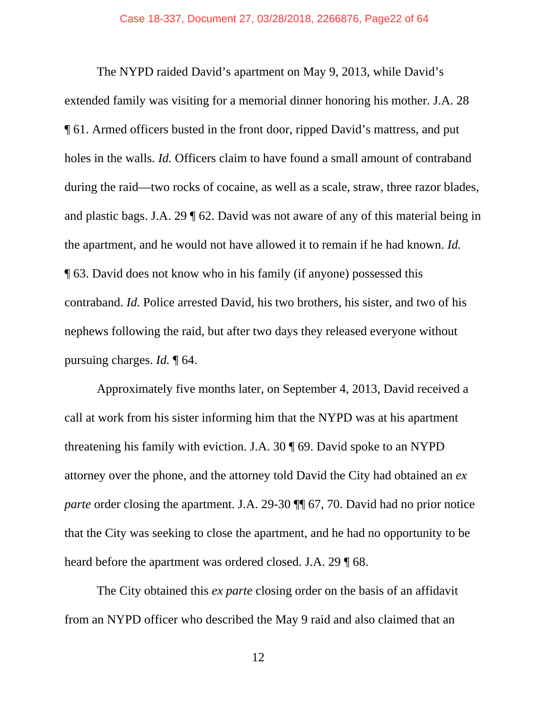The NYPD raided David's apartment on May 9, 2013, while David's extended family was visiting for a memorial dinner honoring his mother. J.A. 28 ¶ 61. Armed officers busted in the front door, ripped David's mattress, and put holes in the walls. *Id.* Officers claim to have found a small amount of contraband during the raid—two rocks of cocaine, as well as a scale, straw, three razor blades, and plastic bags. J.A. 29 ¶ 62. David was not aware of any of this material being in the apartment, and he would not have allowed it to remain if he had known. *Id.* ¶ 63. David does not know who in his family (if anyone) possessed this contraband. *Id.* Police arrested David, his two brothers, his sister, and two of his nephews following the raid, but after two days they released everyone without pursuing charges. *Id.* ¶ 64.

Approximately five months later, on September 4, 2013, David received a call at work from his sister informing him that the NYPD was at his apartment threatening his family with eviction. J.A. 30 ¶ 69. David spoke to an NYPD attorney over the phone, and the attorney told David the City had obtained an *ex parte* order closing the apartment. J.A. 29-30  $\P$  67, 70. David had no prior notice that the City was seeking to close the apartment, and he had no opportunity to be heard before the apartment was ordered closed. J.A. 29  $\text{T}$  68.

The City obtained this *ex parte* closing order on the basis of an affidavit from an NYPD officer who described the May 9 raid and also claimed that an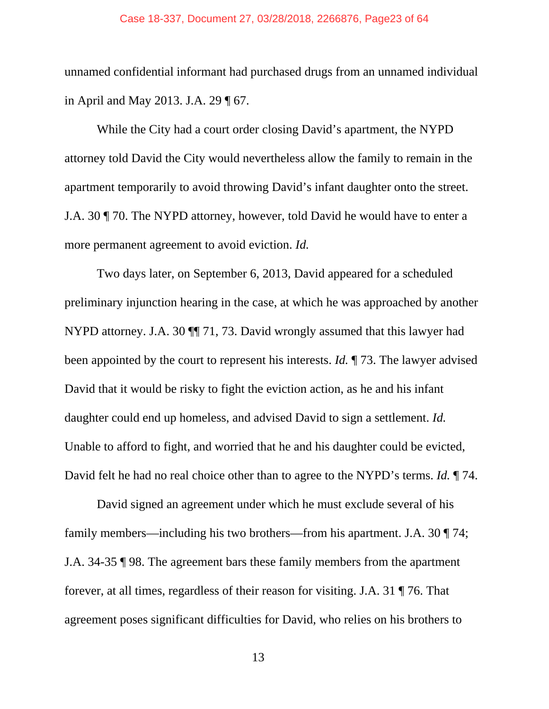#### Case 18-337, Document 27, 03/28/2018, 2266876, Page23 of 64

unnamed confidential informant had purchased drugs from an unnamed individual in April and May 2013. J.A. 29 ¶ 67.

While the City had a court order closing David's apartment, the NYPD attorney told David the City would nevertheless allow the family to remain in the apartment temporarily to avoid throwing David's infant daughter onto the street. J.A. 30 ¶ 70. The NYPD attorney, however, told David he would have to enter a more permanent agreement to avoid eviction. *Id.*

Two days later, on September 6, 2013, David appeared for a scheduled preliminary injunction hearing in the case, at which he was approached by another NYPD attorney. J.A. 30 ¶¶ 71, 73. David wrongly assumed that this lawyer had been appointed by the court to represent his interests. *Id.* ¶ 73. The lawyer advised David that it would be risky to fight the eviction action, as he and his infant daughter could end up homeless, and advised David to sign a settlement. *Id.* Unable to afford to fight, and worried that he and his daughter could be evicted, David felt he had no real choice other than to agree to the NYPD's terms. *Id.* ¶ 74.

David signed an agreement under which he must exclude several of his family members—including his two brothers—from his apartment. J.A. 30 ¶ 74; J.A. 34-35 ¶ 98. The agreement bars these family members from the apartment forever, at all times, regardless of their reason for visiting. J.A. 31 ¶ 76. That agreement poses significant difficulties for David, who relies on his brothers to

13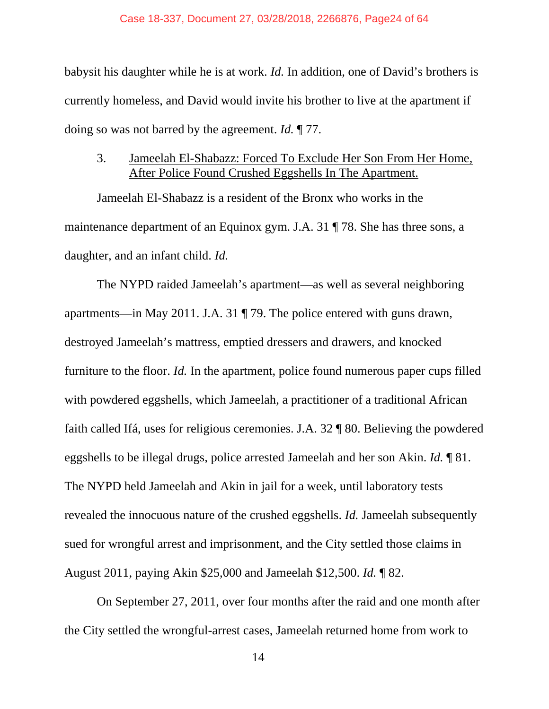babysit his daughter while he is at work. *Id.* In addition, one of David's brothers is currently homeless, and David would invite his brother to live at the apartment if doing so was not barred by the agreement. *Id.* ¶ 77.

## 3. Jameelah El-Shabazz: Forced To Exclude Her Son From Her Home, After Police Found Crushed Eggshells In The Apartment.

Jameelah El-Shabazz is a resident of the Bronx who works in the maintenance department of an Equinox gym. J.A. 31 ¶ 78. She has three sons, a daughter, and an infant child. *Id.*

The NYPD raided Jameelah's apartment—as well as several neighboring apartments—in May 2011. J.A. 31 ¶ 79. The police entered with guns drawn, destroyed Jameelah's mattress, emptied dressers and drawers, and knocked furniture to the floor. *Id.* In the apartment, police found numerous paper cups filled with powdered eggshells, which Jameelah, a practitioner of a traditional African faith called Ifá, uses for religious ceremonies. J.A. 32 ¶ 80. Believing the powdered eggshells to be illegal drugs, police arrested Jameelah and her son Akin. *Id.* ¶ 81. The NYPD held Jameelah and Akin in jail for a week, until laboratory tests revealed the innocuous nature of the crushed eggshells. *Id.* Jameelah subsequently sued for wrongful arrest and imprisonment, and the City settled those claims in August 2011, paying Akin \$25,000 and Jameelah \$12,500. *Id.* ¶ 82.

On September 27, 2011, over four months after the raid and one month after the City settled the wrongful-arrest cases, Jameelah returned home from work to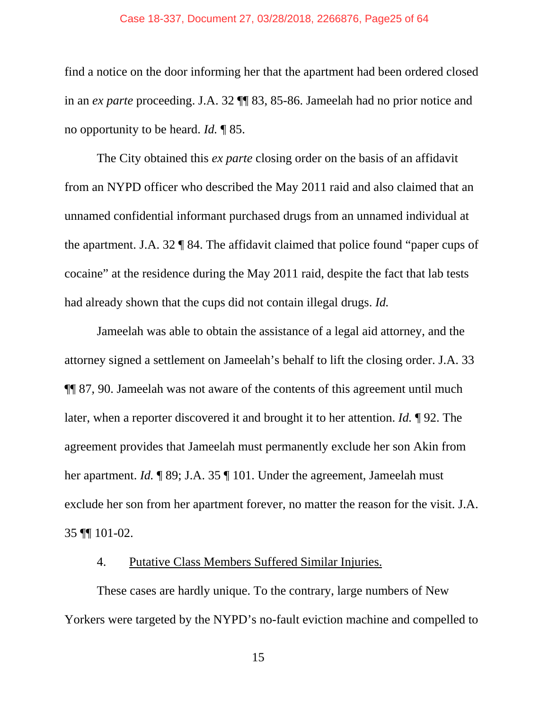#### Case 18-337, Document 27, 03/28/2018, 2266876, Page25 of 64

find a notice on the door informing her that the apartment had been ordered closed in an *ex parte* proceeding. J.A. 32 ¶¶ 83, 85-86. Jameelah had no prior notice and no opportunity to be heard. *Id.* ¶ 85.

The City obtained this *ex parte* closing order on the basis of an affidavit from an NYPD officer who described the May 2011 raid and also claimed that an unnamed confidential informant purchased drugs from an unnamed individual at the apartment. J.A. 32 ¶ 84. The affidavit claimed that police found "paper cups of cocaine" at the residence during the May 2011 raid, despite the fact that lab tests had already shown that the cups did not contain illegal drugs. *Id.*

Jameelah was able to obtain the assistance of a legal aid attorney, and the attorney signed a settlement on Jameelah's behalf to lift the closing order. J.A. 33 ¶¶ 87, 90. Jameelah was not aware of the contents of this agreement until much later, when a reporter discovered it and brought it to her attention. *Id.* ¶ 92. The agreement provides that Jameelah must permanently exclude her son Akin from her apartment. *Id.* ¶ 89; J.A. 35 ¶ 101. Under the agreement, Jameelah must exclude her son from her apartment forever, no matter the reason for the visit. J.A. 35 ¶¶ 101-02.

## 4. Putative Class Members Suffered Similar Injuries.

These cases are hardly unique. To the contrary, large numbers of New Yorkers were targeted by the NYPD's no-fault eviction machine and compelled to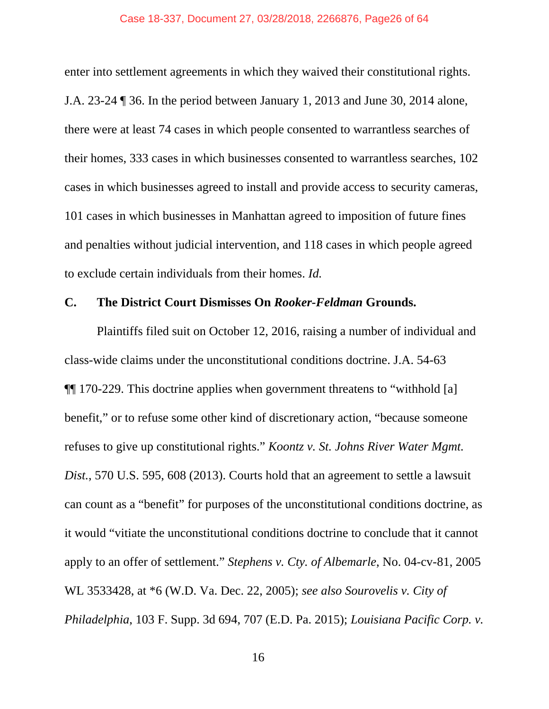#### Case 18-337, Document 27, 03/28/2018, 2266876, Page26 of 64

enter into settlement agreements in which they waived their constitutional rights. J.A. 23-24 ¶ 36. In the period between January 1, 2013 and June 30, 2014 alone, there were at least 74 cases in which people consented to warrantless searches of their homes, 333 cases in which businesses consented to warrantless searches, 102 cases in which businesses agreed to install and provide access to security cameras, 101 cases in which businesses in Manhattan agreed to imposition of future fines and penalties without judicial intervention, and 118 cases in which people agreed to exclude certain individuals from their homes. *Id.* 

#### **C. The District Court Dismisses On** *Rooker-Feldman* **Grounds.**

 Plaintiffs filed suit on October 12, 2016, raising a number of individual and class-wide claims under the unconstitutional conditions doctrine. J.A. 54-63 ¶¶ 170-229. This doctrine applies when government threatens to "withhold [a] benefit," or to refuse some other kind of discretionary action, "because someone refuses to give up constitutional rights." *Koontz v. St. Johns River Water Mgmt. Dist.*, 570 U.S. 595, 608 (2013). Courts hold that an agreement to settle a lawsuit can count as a "benefit" for purposes of the unconstitutional conditions doctrine, as it would "vitiate the unconstitutional conditions doctrine to conclude that it cannot apply to an offer of settlement." *Stephens v. Cty. of Albemarle*, No. 04-cv-81, 2005 WL 3533428, at \*6 (W.D. Va. Dec. 22, 2005); *see also Sourovelis v. City of Philadelphia*, 103 F. Supp. 3d 694, 707 (E.D. Pa. 2015); *Louisiana Pacific Corp. v.*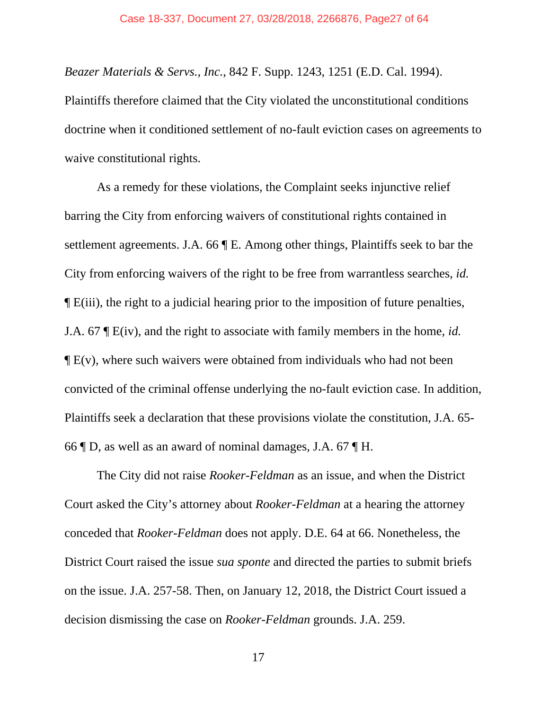*Beazer Materials & Servs., Inc.*, 842 F. Supp. 1243, 1251 (E.D. Cal. 1994). Plaintiffs therefore claimed that the City violated the unconstitutional conditions doctrine when it conditioned settlement of no-fault eviction cases on agreements to waive constitutional rights.

 As a remedy for these violations, the Complaint seeks injunctive relief barring the City from enforcing waivers of constitutional rights contained in settlement agreements. J.A. 66 ¶ E. Among other things, Plaintiffs seek to bar the City from enforcing waivers of the right to be free from warrantless searches, *id.*  ¶ E(iii), the right to a judicial hearing prior to the imposition of future penalties, J.A. 67 ¶ E(iv), and the right to associate with family members in the home, *id.*  $\P$  E(v), where such waivers were obtained from individuals who had not been convicted of the criminal offense underlying the no-fault eviction case. In addition, Plaintiffs seek a declaration that these provisions violate the constitution, J.A. 65- 66 ¶ D, as well as an award of nominal damages, J.A. 67 ¶ H.

 The City did not raise *Rooker-Feldman* as an issue, and when the District Court asked the City's attorney about *Rooker-Feldman* at a hearing the attorney conceded that *Rooker-Feldman* does not apply. D.E. 64 at 66. Nonetheless, the District Court raised the issue *sua sponte* and directed the parties to submit briefs on the issue. J.A. 257-58. Then, on January 12, 2018, the District Court issued a decision dismissing the case on *Rooker-Feldman* grounds. J.A. 259.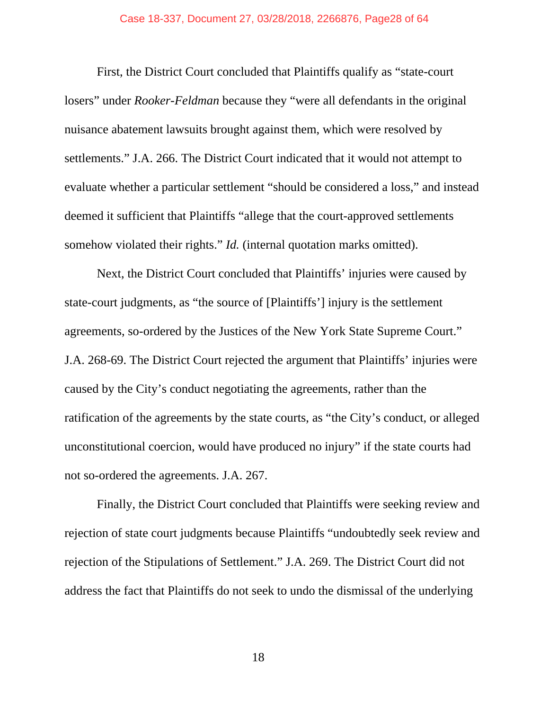First, the District Court concluded that Plaintiffs qualify as "state-court losers" under *Rooker-Feldman* because they "were all defendants in the original nuisance abatement lawsuits brought against them, which were resolved by settlements." J.A. 266. The District Court indicated that it would not attempt to evaluate whether a particular settlement "should be considered a loss," and instead deemed it sufficient that Plaintiffs "allege that the court-approved settlements somehow violated their rights." *Id.* (internal quotation marks omitted).

 Next, the District Court concluded that Plaintiffs' injuries were caused by state-court judgments, as "the source of [Plaintiffs'] injury is the settlement agreements, so-ordered by the Justices of the New York State Supreme Court." J.A. 268-69. The District Court rejected the argument that Plaintiffs' injuries were caused by the City's conduct negotiating the agreements, rather than the ratification of the agreements by the state courts, as "the City's conduct, or alleged unconstitutional coercion, would have produced no injury" if the state courts had not so-ordered the agreements. J.A. 267.

 Finally, the District Court concluded that Plaintiffs were seeking review and rejection of state court judgments because Plaintiffs "undoubtedly seek review and rejection of the Stipulations of Settlement." J.A. 269. The District Court did not address the fact that Plaintiffs do not seek to undo the dismissal of the underlying

18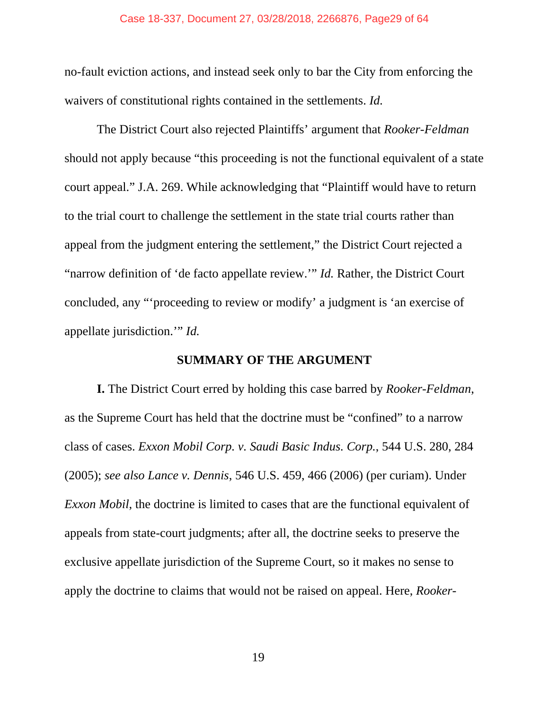#### Case 18-337, Document 27, 03/28/2018, 2266876, Page29 of 64

no-fault eviction actions, and instead seek only to bar the City from enforcing the waivers of constitutional rights contained in the settlements. *Id.*

 The District Court also rejected Plaintiffs' argument that *Rooker-Feldman*  should not apply because "this proceeding is not the functional equivalent of a state court appeal." J.A. 269. While acknowledging that "Plaintiff would have to return to the trial court to challenge the settlement in the state trial courts rather than appeal from the judgment entering the settlement," the District Court rejected a "narrow definition of 'de facto appellate review.'" *Id.* Rather, the District Court concluded, any "'proceeding to review or modify' a judgment is 'an exercise of appellate jurisdiction.'" *Id.* 

#### **SUMMARY OF THE ARGUMENT**

**I.** The District Court erred by holding this case barred by *Rooker-Feldman*, as the Supreme Court has held that the doctrine must be "confined" to a narrow class of cases. *Exxon Mobil Corp. v. Saudi Basic Indus. Corp.*, 544 U.S. 280, 284 (2005); *see also Lance v. Dennis*, 546 U.S. 459, 466 (2006) (per curiam). Under *Exxon Mobil*, the doctrine is limited to cases that are the functional equivalent of appeals from state-court judgments; after all, the doctrine seeks to preserve the exclusive appellate jurisdiction of the Supreme Court, so it makes no sense to apply the doctrine to claims that would not be raised on appeal. Here, *Rooker-*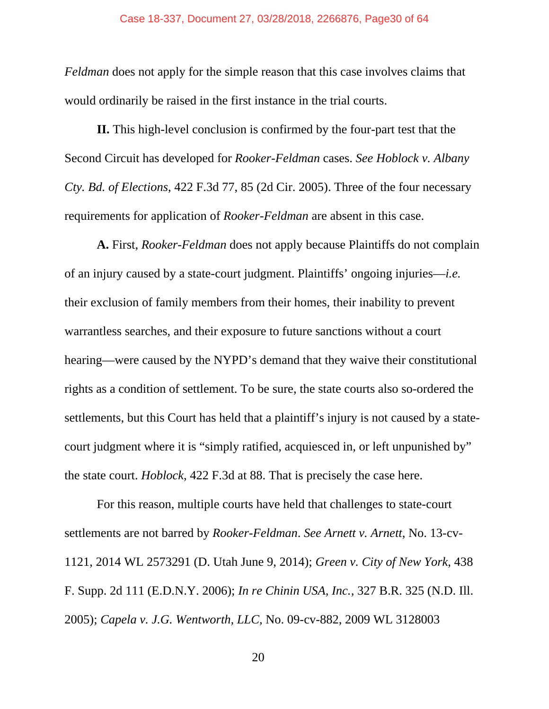*Feldman* does not apply for the simple reason that this case involves claims that would ordinarily be raised in the first instance in the trial courts.

**II.** This high-level conclusion is confirmed by the four-part test that the Second Circuit has developed for *Rooker-Feldman* cases. *See Hoblock v. Albany Cty. Bd. of Elections*, 422 F.3d 77, 85 (2d Cir. 2005). Three of the four necessary requirements for application of *Rooker-Feldman* are absent in this case.

**A.** First, *Rooker-Feldman* does not apply because Plaintiffs do not complain of an injury caused by a state-court judgment. Plaintiffs' ongoing injuries—*i.e.*  their exclusion of family members from their homes, their inability to prevent warrantless searches, and their exposure to future sanctions without a court hearing—were caused by the NYPD's demand that they waive their constitutional rights as a condition of settlement. To be sure, the state courts also so-ordered the settlements, but this Court has held that a plaintiff's injury is not caused by a statecourt judgment where it is "simply ratified, acquiesced in, or left unpunished by" the state court. *Hoblock*, 422 F.3d at 88. That is precisely the case here.

For this reason, multiple courts have held that challenges to state-court settlements are not barred by *Rooker-Feldman*. *See Arnett v. Arnett*, No. 13-cv-1121, 2014 WL 2573291 (D. Utah June 9, 2014); *Green v. City of New York*, 438 F. Supp. 2d 111 (E.D.N.Y. 2006); *In re Chinin USA, Inc.*, 327 B.R. 325 (N.D. Ill. 2005); *Capela v. J.G. Wentworth, LLC*, No. 09-cv-882, 2009 WL 3128003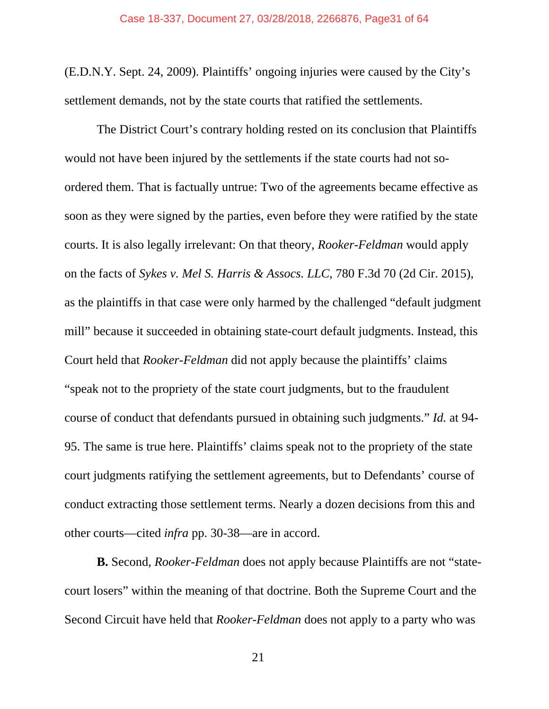(E.D.N.Y. Sept. 24, 2009). Plaintiffs' ongoing injuries were caused by the City's settlement demands, not by the state courts that ratified the settlements.

 The District Court's contrary holding rested on its conclusion that Plaintiffs would not have been injured by the settlements if the state courts had not soordered them. That is factually untrue: Two of the agreements became effective as soon as they were signed by the parties, even before they were ratified by the state courts. It is also legally irrelevant: On that theory, *Rooker-Feldman* would apply on the facts of *Sykes v. Mel S. Harris & Assocs. LLC*, 780 F.3d 70 (2d Cir. 2015), as the plaintiffs in that case were only harmed by the challenged "default judgment mill" because it succeeded in obtaining state-court default judgments. Instead, this Court held that *Rooker-Feldman* did not apply because the plaintiffs' claims "speak not to the propriety of the state court judgments, but to the fraudulent course of conduct that defendants pursued in obtaining such judgments." *Id.* at 94- 95. The same is true here. Plaintiffs' claims speak not to the propriety of the state court judgments ratifying the settlement agreements, but to Defendants' course of conduct extracting those settlement terms. Nearly a dozen decisions from this and other courts—cited *infra* pp. 30-38—are in accord.

**B.** Second, *Rooker-Feldman* does not apply because Plaintiffs are not "statecourt losers" within the meaning of that doctrine. Both the Supreme Court and the Second Circuit have held that *Rooker-Feldman* does not apply to a party who was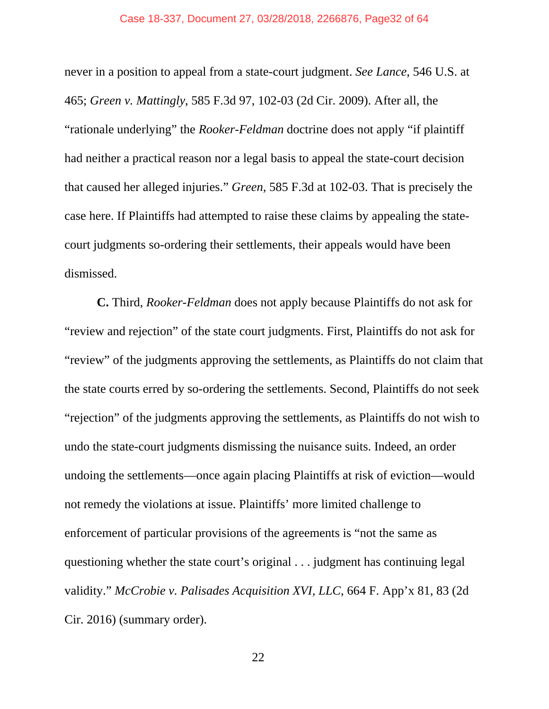#### Case 18-337, Document 27, 03/28/2018, 2266876, Page32 of 64

never in a position to appeal from a state-court judgment. *See Lance*, 546 U.S. at 465; *Green v. Mattingly*, 585 F.3d 97, 102-03 (2d Cir. 2009). After all, the "rationale underlying" the *Rooker-Feldman* doctrine does not apply "if plaintiff had neither a practical reason nor a legal basis to appeal the state-court decision that caused her alleged injuries." *Green*, 585 F.3d at 102-03. That is precisely the case here. If Plaintiffs had attempted to raise these claims by appealing the statecourt judgments so-ordering their settlements, their appeals would have been dismissed.

**C.** Third, *Rooker-Feldman* does not apply because Plaintiffs do not ask for "review and rejection" of the state court judgments. First, Plaintiffs do not ask for "review" of the judgments approving the settlements, as Plaintiffs do not claim that the state courts erred by so-ordering the settlements. Second, Plaintiffs do not seek "rejection" of the judgments approving the settlements, as Plaintiffs do not wish to undo the state-court judgments dismissing the nuisance suits. Indeed, an order undoing the settlements—once again placing Plaintiffs at risk of eviction—would not remedy the violations at issue. Plaintiffs' more limited challenge to enforcement of particular provisions of the agreements is "not the same as questioning whether the state court's original . . . judgment has continuing legal validity." *McCrobie v. Palisades Acquisition XVI, LLC*, 664 F. App'x 81, 83 (2d Cir. 2016) (summary order).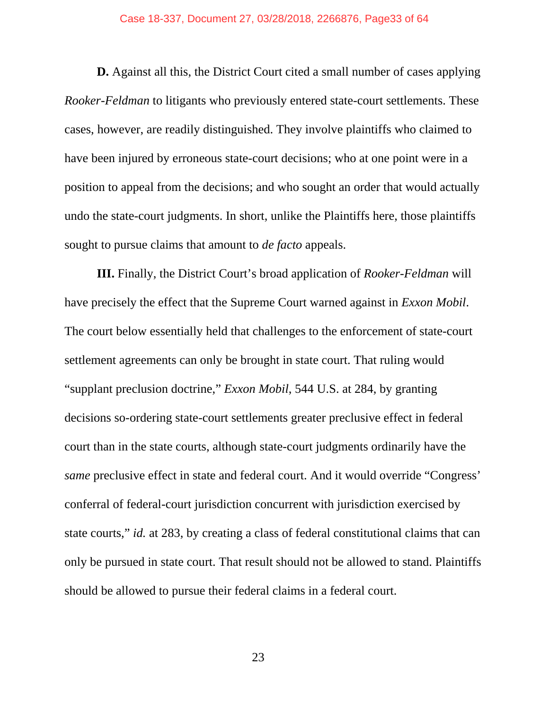#### Case 18-337, Document 27, 03/28/2018, 2266876, Page33 of 64

**D.** Against all this, the District Court cited a small number of cases applying *Rooker-Feldman* to litigants who previously entered state-court settlements. These cases, however, are readily distinguished. They involve plaintiffs who claimed to have been injured by erroneous state-court decisions; who at one point were in a position to appeal from the decisions; and who sought an order that would actually undo the state-court judgments. In short, unlike the Plaintiffs here, those plaintiffs sought to pursue claims that amount to *de facto* appeals.

**III.** Finally, the District Court's broad application of *Rooker-Feldman* will have precisely the effect that the Supreme Court warned against in *Exxon Mobil*. The court below essentially held that challenges to the enforcement of state-court settlement agreements can only be brought in state court. That ruling would "supplant preclusion doctrine," *Exxon Mobil*, 544 U.S. at 284, by granting decisions so-ordering state-court settlements greater preclusive effect in federal court than in the state courts, although state-court judgments ordinarily have the *same* preclusive effect in state and federal court. And it would override "Congress' conferral of federal-court jurisdiction concurrent with jurisdiction exercised by state courts," *id.* at 283, by creating a class of federal constitutional claims that can only be pursued in state court. That result should not be allowed to stand. Plaintiffs should be allowed to pursue their federal claims in a federal court.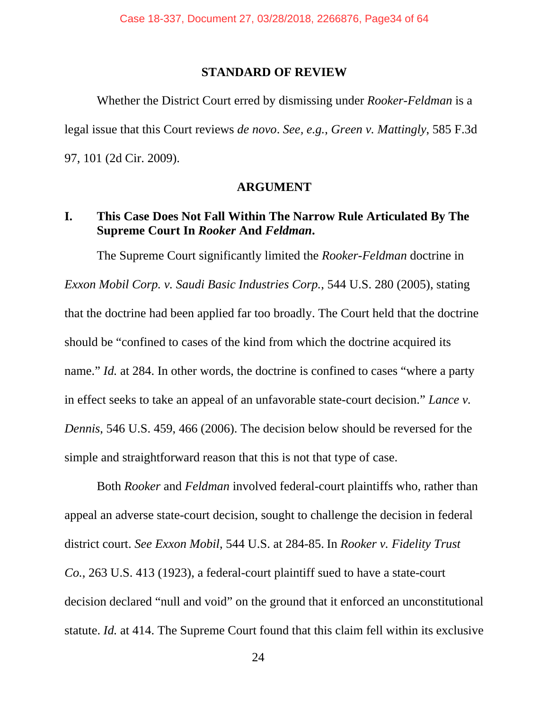#### **STANDARD OF REVIEW**

 Whether the District Court erred by dismissing under *Rooker-Feldman* is a legal issue that this Court reviews *de novo*. *See, e.g.*, *Green v. Mattingly*, 585 F.3d 97, 101 (2d Cir. 2009).

#### **ARGUMENT**

## **I. This Case Does Not Fall Within The Narrow Rule Articulated By The Supreme Court In** *Rooker* **And** *Feldman***.**

 The Supreme Court significantly limited the *Rooker-Feldman* doctrine in *Exxon Mobil Corp. v. Saudi Basic Industries Corp.*, 544 U.S. 280 (2005), stating that the doctrine had been applied far too broadly. The Court held that the doctrine should be "confined to cases of the kind from which the doctrine acquired its name." *Id.* at 284. In other words, the doctrine is confined to cases "where a party in effect seeks to take an appeal of an unfavorable state-court decision." *Lance v. Dennis*, 546 U.S. 459, 466 (2006). The decision below should be reversed for the simple and straightforward reason that this is not that type of case.

 Both *Rooker* and *Feldman* involved federal-court plaintiffs who, rather than appeal an adverse state-court decision, sought to challenge the decision in federal district court. *See Exxon Mobil*, 544 U.S. at 284-85. In *Rooker v. Fidelity Trust Co.*, 263 U.S. 413 (1923), a federal-court plaintiff sued to have a state-court decision declared "null and void" on the ground that it enforced an unconstitutional statute. *Id.* at 414. The Supreme Court found that this claim fell within its exclusive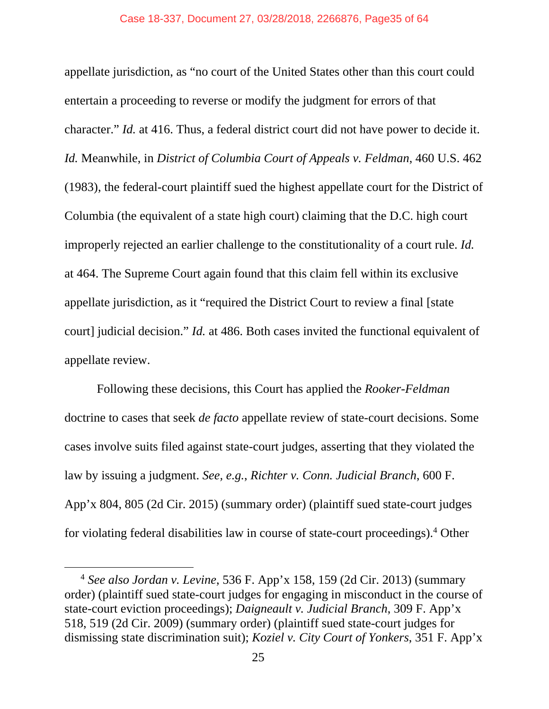appellate jurisdiction, as "no court of the United States other than this court could entertain a proceeding to reverse or modify the judgment for errors of that character." *Id.* at 416. Thus, a federal district court did not have power to decide it. *Id.* Meanwhile, in *District of Columbia Court of Appeals v. Feldman*, 460 U.S. 462 (1983), the federal-court plaintiff sued the highest appellate court for the District of Columbia (the equivalent of a state high court) claiming that the D.C. high court improperly rejected an earlier challenge to the constitutionality of a court rule. *Id.* at 464. The Supreme Court again found that this claim fell within its exclusive appellate jurisdiction, as it "required the District Court to review a final [state court] judicial decision." *Id.* at 486. Both cases invited the functional equivalent of appellate review.

Following these decisions, this Court has applied the *Rooker-Feldman*  doctrine to cases that seek *de facto* appellate review of state-court decisions. Some cases involve suits filed against state-court judges, asserting that they violated the law by issuing a judgment. *See, e.g.*, *Richter v. Conn. Judicial Branch*, 600 F. App'x 804, 805 (2d Cir. 2015) (summary order) (plaintiff sued state-court judges for violating federal disabilities law in course of state-court proceedings).4 Other

 <sup>4</sup> *See also Jordan v. Levine*, 536 F. App'x 158, 159 (2d Cir. 2013) (summary order) (plaintiff sued state-court judges for engaging in misconduct in the course of state-court eviction proceedings); *Daigneault v. Judicial Branch*, 309 F. App'x 518, 519 (2d Cir. 2009) (summary order) (plaintiff sued state-court judges for dismissing state discrimination suit); *Koziel v. City Court of Yonkers*, 351 F. App'x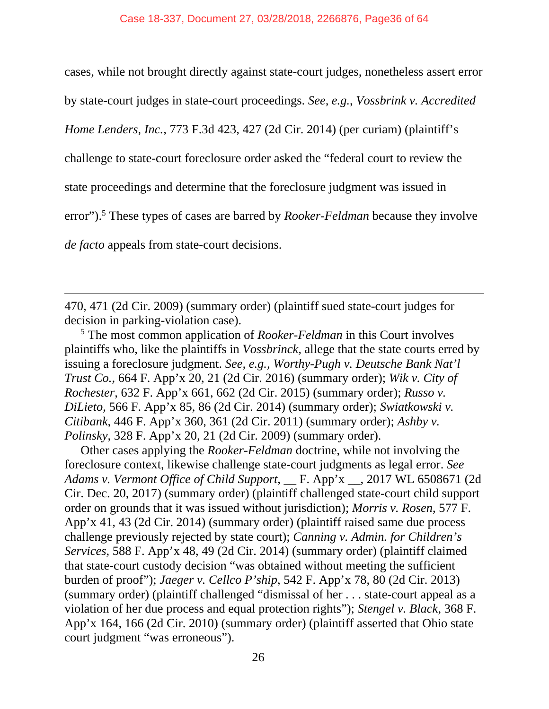cases, while not brought directly against state-court judges, nonetheless assert error

by state-court judges in state-court proceedings. *See, e.g.*, *Vossbrink v. Accredited* 

*Home Lenders, Inc.*, 773 F.3d 423, 427 (2d Cir. 2014) (per curiam) (plaintiff's

challenge to state-court foreclosure order asked the "federal court to review the

state proceedings and determine that the foreclosure judgment was issued in

error").<sup>5</sup> These types of cases are barred by *Rooker-Feldman* because they involve

*de facto* appeals from state-court decisions.

 $\overline{a}$ 

470, 471 (2d Cir. 2009) (summary order) (plaintiff sued state-court judges for decision in parking-violation case).

5 The most common application of *Rooker-Feldman* in this Court involves plaintiffs who, like the plaintiffs in *Vossbrinck*, allege that the state courts erred by issuing a foreclosure judgment. *See, e.g., Worthy-Pugh v. Deutsche Bank Nat'l Trust Co.*, 664 F. App'x 20, 21 (2d Cir. 2016) (summary order); *Wik v. City of Rochester*, 632 F. App'x 661, 662 (2d Cir. 2015) (summary order); *Russo v. DiLieto*, 566 F. App'x 85, 86 (2d Cir. 2014) (summary order); *Swiatkowski v. Citibank*, 446 F. App'x 360, 361 (2d Cir. 2011) (summary order); *Ashby v. Polinsky*, 328 F. App'x 20, 21 (2d Cir. 2009) (summary order).

Other cases applying the *Rooker-Feldman* doctrine, while not involving the foreclosure context, likewise challenge state-court judgments as legal error. *See Adams v. Vermont Office of Child Support*, \_\_ F. App'x \_\_, 2017 WL 6508671 (2d Cir. Dec. 20, 2017) (summary order) (plaintiff challenged state-court child support order on grounds that it was issued without jurisdiction); *Morris v. Rosen*, 577 F. App'x 41, 43 (2d Cir. 2014) (summary order) (plaintiff raised same due process challenge previously rejected by state court); *Canning v. Admin. for Children's Services*, 588 F. App'x 48, 49 (2d Cir. 2014) (summary order) (plaintiff claimed that state-court custody decision "was obtained without meeting the sufficient burden of proof"); *Jaeger v. Cellco P'ship*, 542 F. App'x 78, 80 (2d Cir. 2013) (summary order) (plaintiff challenged "dismissal of her . . . state-court appeal as a violation of her due process and equal protection rights"); *Stengel v. Black*, 368 F. App'x 164, 166 (2d Cir. 2010) (summary order) (plaintiff asserted that Ohio state court judgment "was erroneous").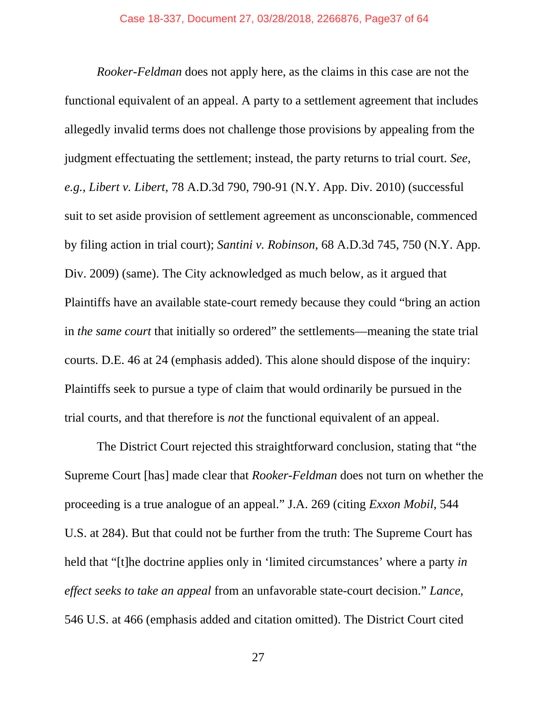*Rooker-Feldman* does not apply here, as the claims in this case are not the functional equivalent of an appeal. A party to a settlement agreement that includes allegedly invalid terms does not challenge those provisions by appealing from the judgment effectuating the settlement; instead, the party returns to trial court. *See, e.g.*, *Libert v. Libert*, 78 A.D.3d 790, 790-91 (N.Y. App. Div. 2010) (successful suit to set aside provision of settlement agreement as unconscionable, commenced by filing action in trial court); *Santini v. Robinson*, 68 A.D.3d 745, 750 (N.Y. App. Div. 2009) (same). The City acknowledged as much below, as it argued that Plaintiffs have an available state-court remedy because they could "bring an action in *the same court* that initially so ordered" the settlements—meaning the state trial courts. D.E. 46 at 24 (emphasis added). This alone should dispose of the inquiry: Plaintiffs seek to pursue a type of claim that would ordinarily be pursued in the trial courts, and that therefore is *not* the functional equivalent of an appeal.

 The District Court rejected this straightforward conclusion, stating that "the Supreme Court [has] made clear that *Rooker-Feldman* does not turn on whether the proceeding is a true analogue of an appeal." J.A. 269 (citing *Exxon Mobil*, 544 U.S. at 284). But that could not be further from the truth: The Supreme Court has held that "[t]he doctrine applies only in 'limited circumstances' where a party *in effect seeks to take an appeal* from an unfavorable state-court decision." *Lance*, 546 U.S. at 466 (emphasis added and citation omitted). The District Court cited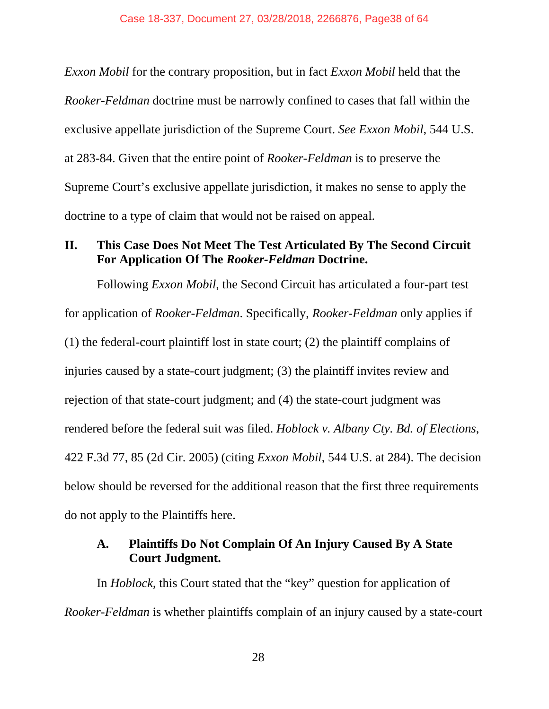*Exxon Mobil* for the contrary proposition, but in fact *Exxon Mobil* held that the *Rooker-Feldman* doctrine must be narrowly confined to cases that fall within the exclusive appellate jurisdiction of the Supreme Court. *See Exxon Mobil*, 544 U.S. at 283-84. Given that the entire point of *Rooker-Feldman* is to preserve the Supreme Court's exclusive appellate jurisdiction, it makes no sense to apply the doctrine to a type of claim that would not be raised on appeal.

## **II. This Case Does Not Meet The Test Articulated By The Second Circuit For Application Of The** *Rooker-Feldman* **Doctrine.**

Following *Exxon Mobil*, the Second Circuit has articulated a four-part test for application of *Rooker-Feldman*. Specifically, *Rooker-Feldman* only applies if (1) the federal-court plaintiff lost in state court; (2) the plaintiff complains of injuries caused by a state-court judgment; (3) the plaintiff invites review and rejection of that state-court judgment; and (4) the state-court judgment was rendered before the federal suit was filed. *Hoblock v. Albany Cty. Bd. of Elections*, 422 F.3d 77, 85 (2d Cir. 2005) (citing *Exxon Mobil*, 544 U.S. at 284). The decision below should be reversed for the additional reason that the first three requirements do not apply to the Plaintiffs here.

## **A. Plaintiffs Do Not Complain Of An Injury Caused By A State Court Judgment.**

In *Hoblock*, this Court stated that the "key" question for application of *Rooker-Feldman* is whether plaintiffs complain of an injury caused by a state-court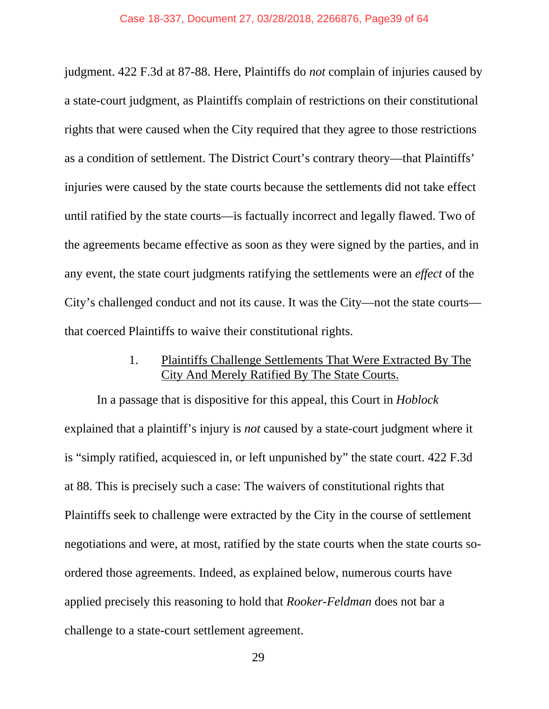judgment. 422 F.3d at 87-88. Here, Plaintiffs do *not* complain of injuries caused by a state-court judgment, as Plaintiffs complain of restrictions on their constitutional rights that were caused when the City required that they agree to those restrictions as a condition of settlement. The District Court's contrary theory—that Plaintiffs' injuries were caused by the state courts because the settlements did not take effect until ratified by the state courts—is factually incorrect and legally flawed. Two of the agreements became effective as soon as they were signed by the parties, and in any event, the state court judgments ratifying the settlements were an *effect* of the City's challenged conduct and not its cause. It was the City—not the state courts that coerced Plaintiffs to waive their constitutional rights.

## 1. Plaintiffs Challenge Settlements That Were Extracted By The City And Merely Ratified By The State Courts.

In a passage that is dispositive for this appeal, this Court in *Hoblock*  explained that a plaintiff's injury is *not* caused by a state-court judgment where it is "simply ratified, acquiesced in, or left unpunished by" the state court. 422 F.3d at 88. This is precisely such a case: The waivers of constitutional rights that Plaintiffs seek to challenge were extracted by the City in the course of settlement negotiations and were, at most, ratified by the state courts when the state courts soordered those agreements. Indeed, as explained below, numerous courts have applied precisely this reasoning to hold that *Rooker-Feldman* does not bar a challenge to a state-court settlement agreement.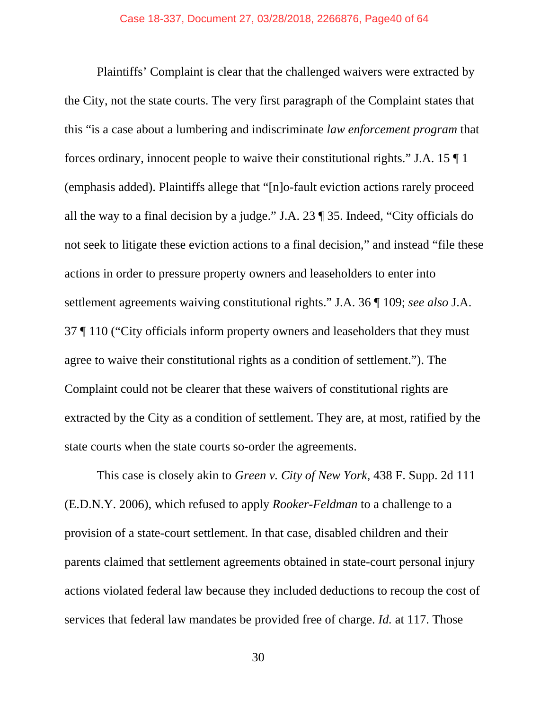Plaintiffs' Complaint is clear that the challenged waivers were extracted by the City, not the state courts. The very first paragraph of the Complaint states that this "is a case about a lumbering and indiscriminate *law enforcement program* that forces ordinary, innocent people to waive their constitutional rights." J.A. 15 ¶ 1 (emphasis added). Plaintiffs allege that "[n]o-fault eviction actions rarely proceed all the way to a final decision by a judge." J.A. 23 ¶ 35. Indeed, "City officials do not seek to litigate these eviction actions to a final decision," and instead "file these actions in order to pressure property owners and leaseholders to enter into settlement agreements waiving constitutional rights." J.A. 36 ¶ 109; *see also* J.A. 37 ¶ 110 ("City officials inform property owners and leaseholders that they must agree to waive their constitutional rights as a condition of settlement."). The Complaint could not be clearer that these waivers of constitutional rights are extracted by the City as a condition of settlement. They are, at most, ratified by the state courts when the state courts so-order the agreements.

This case is closely akin to *Green v. City of New York*, 438 F. Supp. 2d 111 (E.D.N.Y. 2006), which refused to apply *Rooker-Feldman* to a challenge to a provision of a state-court settlement. In that case, disabled children and their parents claimed that settlement agreements obtained in state-court personal injury actions violated federal law because they included deductions to recoup the cost of services that federal law mandates be provided free of charge. *Id.* at 117. Those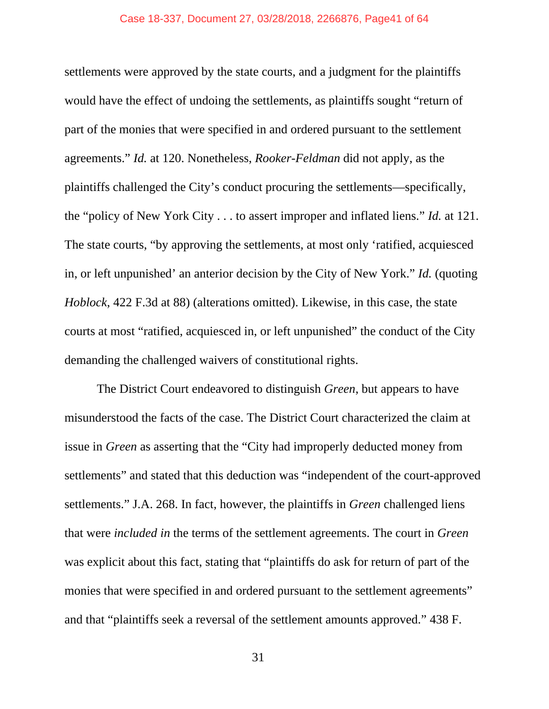settlements were approved by the state courts, and a judgment for the plaintiffs would have the effect of undoing the settlements, as plaintiffs sought "return of part of the monies that were specified in and ordered pursuant to the settlement agreements." *Id.* at 120. Nonetheless, *Rooker-Feldman* did not apply, as the plaintiffs challenged the City's conduct procuring the settlements—specifically, the "policy of New York City . . . to assert improper and inflated liens." *Id.* at 121. The state courts, "by approving the settlements, at most only 'ratified, acquiesced in, or left unpunished' an anterior decision by the City of New York." *Id.* (quoting *Hoblock*, 422 F.3d at 88) (alterations omitted). Likewise, in this case, the state courts at most "ratified, acquiesced in, or left unpunished" the conduct of the City demanding the challenged waivers of constitutional rights.

The District Court endeavored to distinguish *Green*, but appears to have misunderstood the facts of the case. The District Court characterized the claim at issue in *Green* as asserting that the "City had improperly deducted money from settlements" and stated that this deduction was "independent of the court-approved settlements." J.A. 268. In fact, however, the plaintiffs in *Green* challenged liens that were *included in* the terms of the settlement agreements. The court in *Green*  was explicit about this fact, stating that "plaintiffs do ask for return of part of the monies that were specified in and ordered pursuant to the settlement agreements" and that "plaintiffs seek a reversal of the settlement amounts approved." 438 F.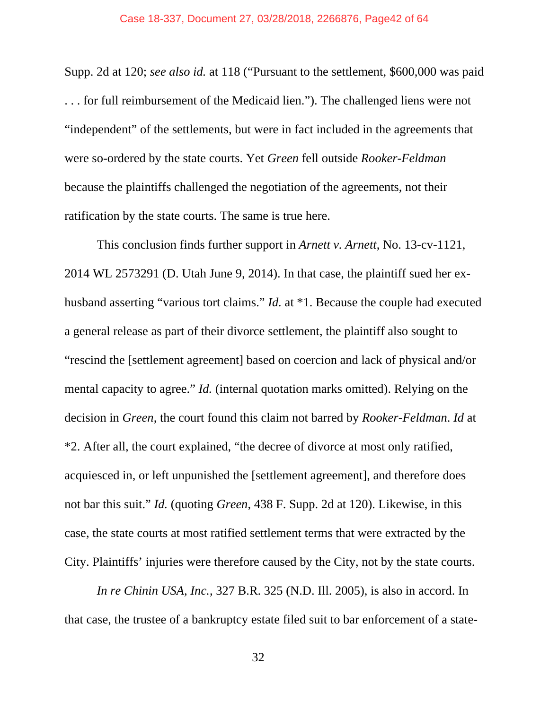#### Case 18-337, Document 27, 03/28/2018, 2266876, Page42 of 64

Supp. 2d at 120; *see also id.* at 118 ("Pursuant to the settlement, \$600,000 was paid . . . for full reimbursement of the Medicaid lien."). The challenged liens were not "independent" of the settlements, but were in fact included in the agreements that were so-ordered by the state courts. Yet *Green* fell outside *Rooker-Feldman* because the plaintiffs challenged the negotiation of the agreements, not their ratification by the state courts. The same is true here.

 This conclusion finds further support in *Arnett v. Arnett*, No. 13-cv-1121, 2014 WL 2573291 (D. Utah June 9, 2014). In that case, the plaintiff sued her exhusband asserting "various tort claims." *Id.* at \*1. Because the couple had executed a general release as part of their divorce settlement, the plaintiff also sought to "rescind the [settlement agreement] based on coercion and lack of physical and/or mental capacity to agree." *Id.* (internal quotation marks omitted). Relying on the decision in *Green*, the court found this claim not barred by *Rooker-Feldman*. *Id* at \*2. After all, the court explained, "the decree of divorce at most only ratified, acquiesced in, or left unpunished the [settlement agreement], and therefore does not bar this suit." *Id.* (quoting *Green*, 438 F. Supp. 2d at 120). Likewise, in this case, the state courts at most ratified settlement terms that were extracted by the City. Plaintiffs' injuries were therefore caused by the City, not by the state courts.

*In re Chinin USA, Inc.*, 327 B.R. 325 (N.D. Ill. 2005), is also in accord. In that case, the trustee of a bankruptcy estate filed suit to bar enforcement of a state-

32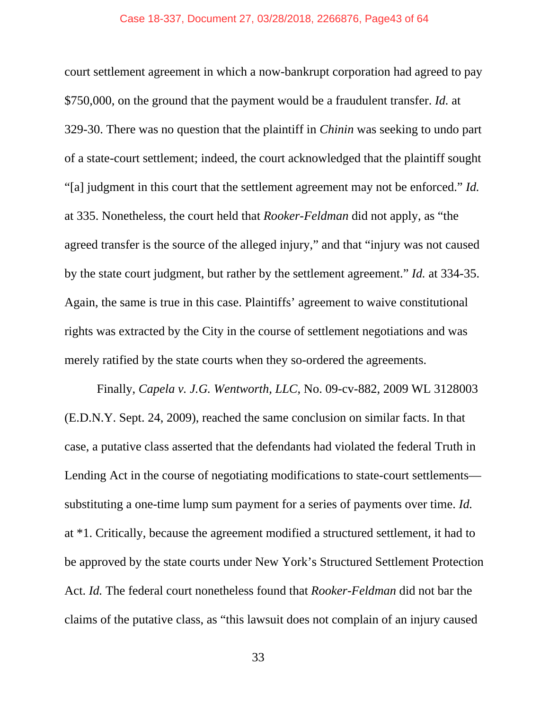#### Case 18-337, Document 27, 03/28/2018, 2266876, Page43 of 64

court settlement agreement in which a now-bankrupt corporation had agreed to pay \$750,000, on the ground that the payment would be a fraudulent transfer. *Id.* at 329-30. There was no question that the plaintiff in *Chinin* was seeking to undo part of a state-court settlement; indeed, the court acknowledged that the plaintiff sought "[a] judgment in this court that the settlement agreement may not be enforced." *Id.* at 335. Nonetheless, the court held that *Rooker-Feldman* did not apply, as "the agreed transfer is the source of the alleged injury," and that "injury was not caused by the state court judgment, but rather by the settlement agreement." *Id.* at 334-35. Again, the same is true in this case. Plaintiffs' agreement to waive constitutional rights was extracted by the City in the course of settlement negotiations and was merely ratified by the state courts when they so-ordered the agreements.

 Finally, *Capela v. J.G. Wentworth, LLC*, No. 09-cv-882, 2009 WL 3128003 (E.D.N.Y. Sept. 24, 2009), reached the same conclusion on similar facts. In that case, a putative class asserted that the defendants had violated the federal Truth in Lending Act in the course of negotiating modifications to state-court settlements substituting a one-time lump sum payment for a series of payments over time. *Id.* at \*1. Critically, because the agreement modified a structured settlement, it had to be approved by the state courts under New York's Structured Settlement Protection Act. *Id.* The federal court nonetheless found that *Rooker-Feldman* did not bar the claims of the putative class, as "this lawsuit does not complain of an injury caused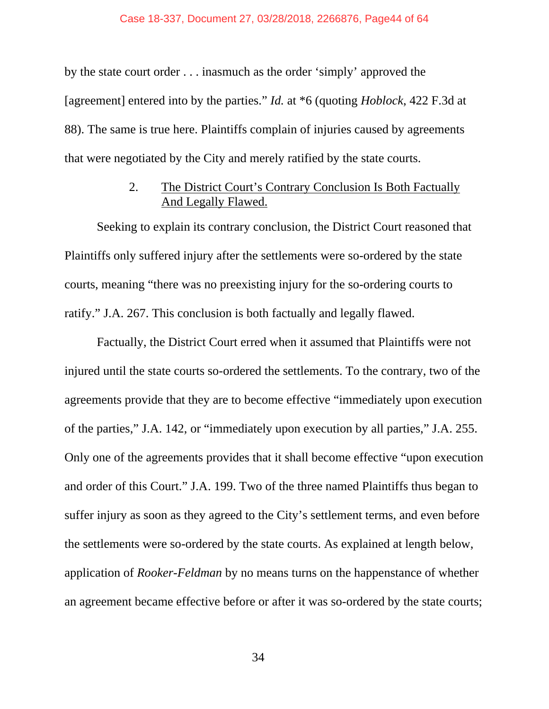#### Case 18-337, Document 27, 03/28/2018, 2266876, Page44 of 64

by the state court order . . . inasmuch as the order 'simply' approved the [agreement] entered into by the parties." *Id.* at \*6 (quoting *Hoblock*, 422 F.3d at 88). The same is true here. Plaintiffs complain of injuries caused by agreements that were negotiated by the City and merely ratified by the state courts.

## 2. The District Court's Contrary Conclusion Is Both Factually And Legally Flawed.

 Seeking to explain its contrary conclusion, the District Court reasoned that Plaintiffs only suffered injury after the settlements were so-ordered by the state courts, meaning "there was no preexisting injury for the so-ordering courts to ratify." J.A. 267. This conclusion is both factually and legally flawed.

 Factually, the District Court erred when it assumed that Plaintiffs were not injured until the state courts so-ordered the settlements. To the contrary, two of the agreements provide that they are to become effective "immediately upon execution of the parties," J.A. 142, or "immediately upon execution by all parties," J.A. 255. Only one of the agreements provides that it shall become effective "upon execution and order of this Court." J.A. 199. Two of the three named Plaintiffs thus began to suffer injury as soon as they agreed to the City's settlement terms, and even before the settlements were so-ordered by the state courts. As explained at length below, application of *Rooker-Feldman* by no means turns on the happenstance of whether an agreement became effective before or after it was so-ordered by the state courts;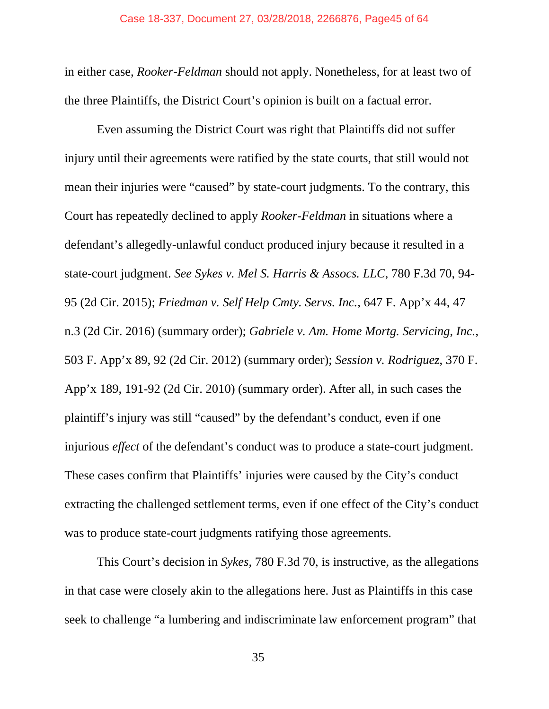in either case, *Rooker-Feldman* should not apply. Nonetheless, for at least two of the three Plaintiffs, the District Court's opinion is built on a factual error.

 Even assuming the District Court was right that Plaintiffs did not suffer injury until their agreements were ratified by the state courts, that still would not mean their injuries were "caused" by state-court judgments. To the contrary, this Court has repeatedly declined to apply *Rooker-Feldman* in situations where a defendant's allegedly-unlawful conduct produced injury because it resulted in a state-court judgment. *See Sykes v. Mel S. Harris & Assocs. LLC*, 780 F.3d 70, 94- 95 (2d Cir. 2015); *Friedman v. Self Help Cmty. Servs. Inc.*, 647 F. App'x 44, 47 n.3 (2d Cir. 2016) (summary order); *Gabriele v. Am. Home Mortg. Servicing, Inc.*, 503 F. App'x 89, 92 (2d Cir. 2012) (summary order); *Session v. Rodriguez*, 370 F. App'x 189, 191-92 (2d Cir. 2010) (summary order). After all, in such cases the plaintiff's injury was still "caused" by the defendant's conduct, even if one injurious *effect* of the defendant's conduct was to produce a state-court judgment. These cases confirm that Plaintiffs' injuries were caused by the City's conduct extracting the challenged settlement terms, even if one effect of the City's conduct was to produce state-court judgments ratifying those agreements.

 This Court's decision in *Sykes*, 780 F.3d 70, is instructive, as the allegations in that case were closely akin to the allegations here. Just as Plaintiffs in this case seek to challenge "a lumbering and indiscriminate law enforcement program" that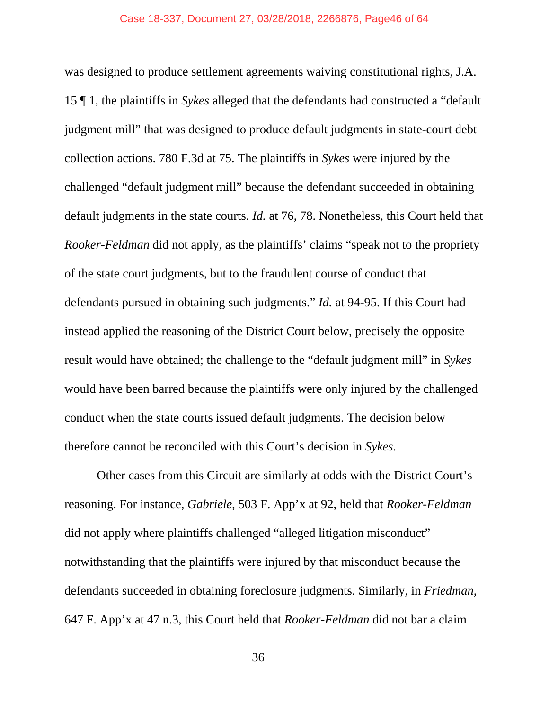was designed to produce settlement agreements waiving constitutional rights, J.A. 15 ¶ 1, the plaintiffs in *Sykes* alleged that the defendants had constructed a "default judgment mill" that was designed to produce default judgments in state-court debt collection actions. 780 F.3d at 75. The plaintiffs in *Sykes* were injured by the challenged "default judgment mill" because the defendant succeeded in obtaining default judgments in the state courts. *Id.* at 76, 78. Nonetheless, this Court held that *Rooker-Feldman* did not apply, as the plaintiffs' claims "speak not to the propriety of the state court judgments, but to the fraudulent course of conduct that defendants pursued in obtaining such judgments." *Id.* at 94-95. If this Court had instead applied the reasoning of the District Court below, precisely the opposite result would have obtained; the challenge to the "default judgment mill" in *Sykes* would have been barred because the plaintiffs were only injured by the challenged conduct when the state courts issued default judgments. The decision below therefore cannot be reconciled with this Court's decision in *Sykes*.

 Other cases from this Circuit are similarly at odds with the District Court's reasoning. For instance, *Gabriele*, 503 F. App'x at 92, held that *Rooker-Feldman*  did not apply where plaintiffs challenged "alleged litigation misconduct" notwithstanding that the plaintiffs were injured by that misconduct because the defendants succeeded in obtaining foreclosure judgments. Similarly, in *Friedman*, 647 F. App'x at 47 n.3, this Court held that *Rooker-Feldman* did not bar a claim

36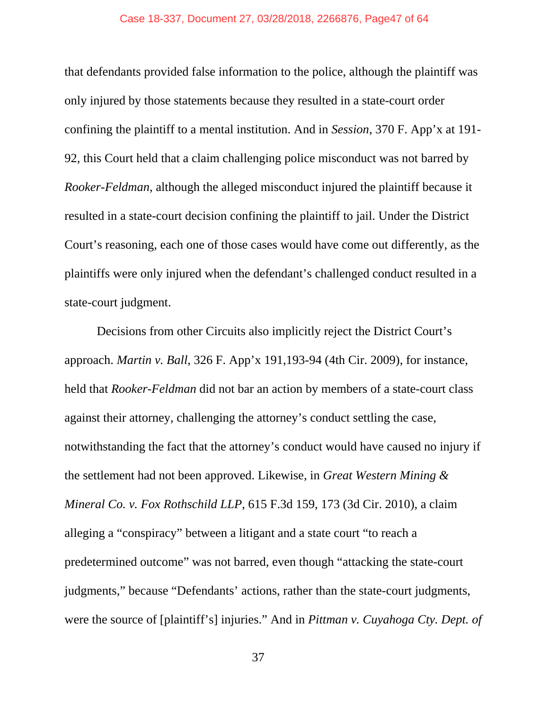#### Case 18-337, Document 27, 03/28/2018, 2266876, Page47 of 64

that defendants provided false information to the police, although the plaintiff was only injured by those statements because they resulted in a state-court order confining the plaintiff to a mental institution. And in *Session*, 370 F. App'x at 191- 92, this Court held that a claim challenging police misconduct was not barred by *Rooker-Feldman*, although the alleged misconduct injured the plaintiff because it resulted in a state-court decision confining the plaintiff to jail. Under the District Court's reasoning, each one of those cases would have come out differently, as the plaintiffs were only injured when the defendant's challenged conduct resulted in a state-court judgment.

 Decisions from other Circuits also implicitly reject the District Court's approach. *Martin v. Ball*, 326 F. App'x 191,193-94 (4th Cir. 2009), for instance, held that *Rooker-Feldman* did not bar an action by members of a state-court class against their attorney, challenging the attorney's conduct settling the case, notwithstanding the fact that the attorney's conduct would have caused no injury if the settlement had not been approved. Likewise, in *Great Western Mining & Mineral Co. v. Fox Rothschild LLP*, 615 F.3d 159, 173 (3d Cir. 2010), a claim alleging a "conspiracy" between a litigant and a state court "to reach a predetermined outcome" was not barred, even though "attacking the state-court judgments," because "Defendants' actions, rather than the state-court judgments, were the source of [plaintiff's] injuries." And in *Pittman v. Cuyahoga Cty. Dept. of*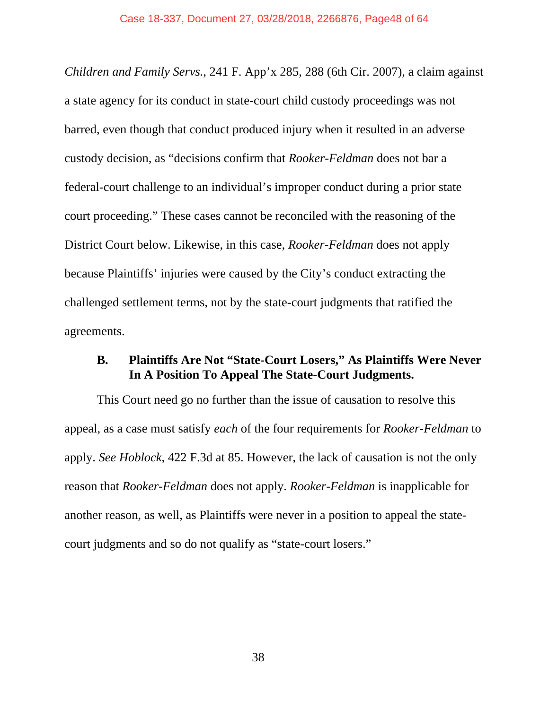*Children and Family Servs.*, 241 F. App'x 285, 288 (6th Cir. 2007), a claim against a state agency for its conduct in state-court child custody proceedings was not barred, even though that conduct produced injury when it resulted in an adverse custody decision, as "decisions confirm that *Rooker-Feldman* does not bar a federal-court challenge to an individual's improper conduct during a prior state court proceeding." These cases cannot be reconciled with the reasoning of the District Court below. Likewise, in this case, *Rooker-Feldman* does not apply because Plaintiffs' injuries were caused by the City's conduct extracting the challenged settlement terms, not by the state-court judgments that ratified the agreements.

## **B. Plaintiffs Are Not "State-Court Losers," As Plaintiffs Were Never In A Position To Appeal The State-Court Judgments.**

This Court need go no further than the issue of causation to resolve this appeal, as a case must satisfy *each* of the four requirements for *Rooker-Feldman* to apply. *See Hoblock*, 422 F.3d at 85. However, the lack of causation is not the only reason that *Rooker-Feldman* does not apply. *Rooker-Feldman* is inapplicable for another reason, as well, as Plaintiffs were never in a position to appeal the statecourt judgments and so do not qualify as "state-court losers."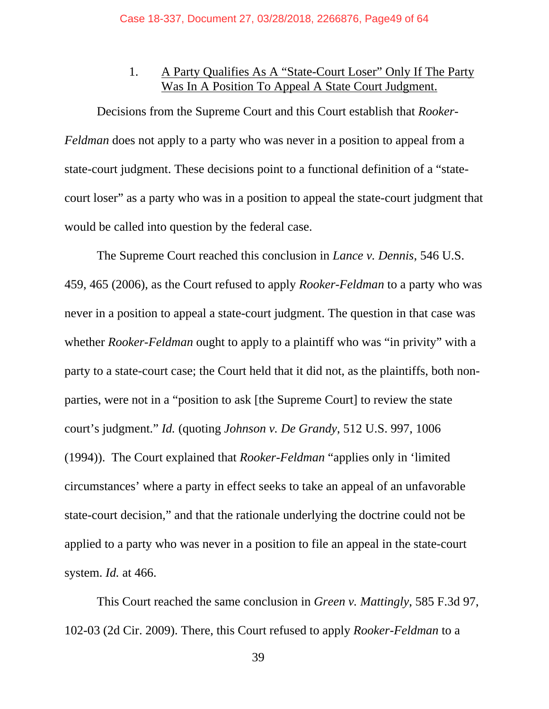## 1. A Party Qualifies As A "State-Court Loser" Only If The Party Was In A Position To Appeal A State Court Judgment.

Decisions from the Supreme Court and this Court establish that *Rooker-Feldman* does not apply to a party who was never in a position to appeal from a state-court judgment. These decisions point to a functional definition of a "statecourt loser" as a party who was in a position to appeal the state-court judgment that would be called into question by the federal case.

The Supreme Court reached this conclusion in *Lance v. Dennis*, 546 U.S. 459, 465 (2006), as the Court refused to apply *Rooker-Feldman* to a party who was never in a position to appeal a state-court judgment. The question in that case was whether *Rooker-Feldman* ought to apply to a plaintiff who was "in privity" with a party to a state-court case; the Court held that it did not, as the plaintiffs, both nonparties, were not in a "position to ask [the Supreme Court] to review the state court's judgment." *Id.* (quoting *Johnson v. De Grandy*, 512 U.S. 997, 1006 (1994)). The Court explained that *Rooker-Feldman* "applies only in 'limited circumstances' where a party in effect seeks to take an appeal of an unfavorable state-court decision," and that the rationale underlying the doctrine could not be applied to a party who was never in a position to file an appeal in the state-court system. *Id.* at 466.

This Court reached the same conclusion in *Green v. Mattingly*, 585 F.3d 97, 102-03 (2d Cir. 2009). There, this Court refused to apply *Rooker-Feldman* to a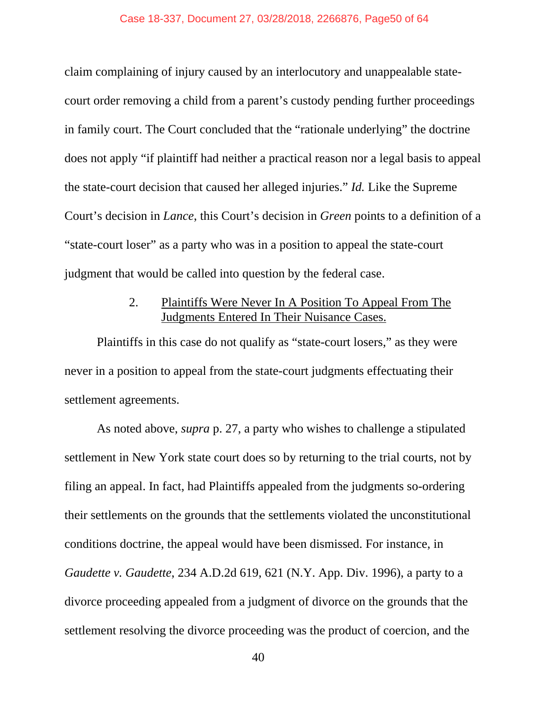claim complaining of injury caused by an interlocutory and unappealable statecourt order removing a child from a parent's custody pending further proceedings in family court. The Court concluded that the "rationale underlying" the doctrine does not apply "if plaintiff had neither a practical reason nor a legal basis to appeal the state-court decision that caused her alleged injuries." *Id.* Like the Supreme Court's decision in *Lance*, this Court's decision in *Green* points to a definition of a "state-court loser" as a party who was in a position to appeal the state-court judgment that would be called into question by the federal case.

## 2. Plaintiffs Were Never In A Position To Appeal From The Judgments Entered In Their Nuisance Cases.

Plaintiffs in this case do not qualify as "state-court losers," as they were never in a position to appeal from the state-court judgments effectuating their settlement agreements.

As noted above, *supra* p. 27, a party who wishes to challenge a stipulated settlement in New York state court does so by returning to the trial courts, not by filing an appeal. In fact, had Plaintiffs appealed from the judgments so-ordering their settlements on the grounds that the settlements violated the unconstitutional conditions doctrine, the appeal would have been dismissed. For instance, in *Gaudette v. Gaudette*, 234 A.D.2d 619, 621 (N.Y. App. Div. 1996), a party to a divorce proceeding appealed from a judgment of divorce on the grounds that the settlement resolving the divorce proceeding was the product of coercion, and the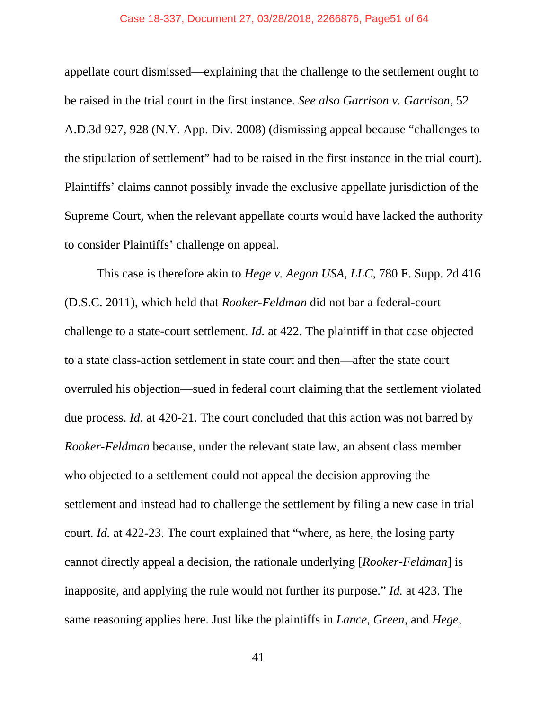#### Case 18-337, Document 27, 03/28/2018, 2266876, Page51 of 64

appellate court dismissed—explaining that the challenge to the settlement ought to be raised in the trial court in the first instance. *See also Garrison v. Garrison*, 52 A.D.3d 927, 928 (N.Y. App. Div. 2008) (dismissing appeal because "challenges to the stipulation of settlement" had to be raised in the first instance in the trial court). Plaintiffs' claims cannot possibly invade the exclusive appellate jurisdiction of the Supreme Court, when the relevant appellate courts would have lacked the authority to consider Plaintiffs' challenge on appeal.

This case is therefore akin to *Hege v. Aegon USA, LLC*, 780 F. Supp. 2d 416 (D.S.C. 2011), which held that *Rooker-Feldman* did not bar a federal-court challenge to a state-court settlement. *Id.* at 422. The plaintiff in that case objected to a state class-action settlement in state court and then—after the state court overruled his objection—sued in federal court claiming that the settlement violated due process. *Id.* at 420-21. The court concluded that this action was not barred by *Rooker-Feldman* because, under the relevant state law, an absent class member who objected to a settlement could not appeal the decision approving the settlement and instead had to challenge the settlement by filing a new case in trial court. *Id.* at 422-23. The court explained that "where, as here, the losing party cannot directly appeal a decision, the rationale underlying [*Rooker-Feldman*] is inapposite, and applying the rule would not further its purpose." *Id.* at 423. The same reasoning applies here. Just like the plaintiffs in *Lance*, *Green*, and *Hege*,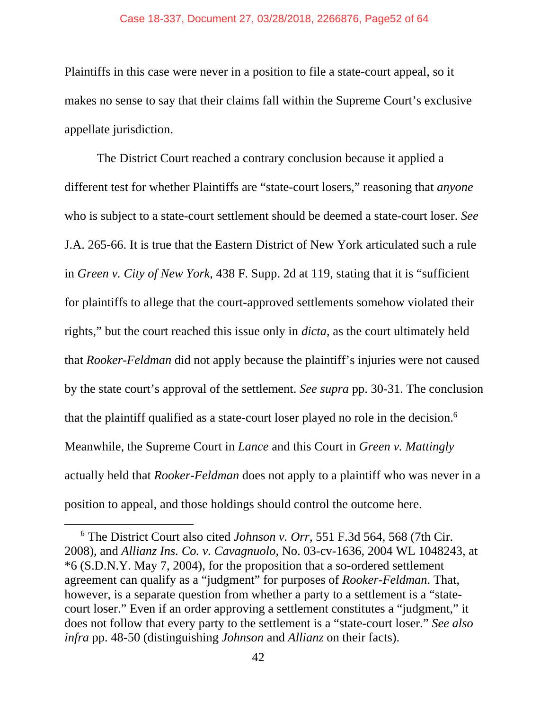#### Case 18-337, Document 27, 03/28/2018, 2266876, Page52 of 64

Plaintiffs in this case were never in a position to file a state-court appeal, so it makes no sense to say that their claims fall within the Supreme Court's exclusive appellate jurisdiction.

The District Court reached a contrary conclusion because it applied a different test for whether Plaintiffs are "state-court losers," reasoning that *anyone*  who is subject to a state-court settlement should be deemed a state-court loser. *See*  J.A. 265-66. It is true that the Eastern District of New York articulated such a rule in *Green v. City of New York*, 438 F. Supp. 2d at 119, stating that it is "sufficient for plaintiffs to allege that the court-approved settlements somehow violated their rights," but the court reached this issue only in *dicta*, as the court ultimately held that *Rooker-Feldman* did not apply because the plaintiff's injuries were not caused by the state court's approval of the settlement. *See supra* pp. 30-31. The conclusion that the plaintiff qualified as a state-court loser played no role in the decision.6 Meanwhile, the Supreme Court in *Lance* and this Court in *Green v. Mattingly*  actually held that *Rooker-Feldman* does not apply to a plaintiff who was never in a position to appeal, and those holdings should control the outcome here.

 <sup>6</sup> The District Court also cited *Johnson v. Orr*, 551 F.3d 564, 568 (7th Cir. 2008), and *Allianz Ins. Co. v. Cavagnuolo*, No. 03-cv-1636, 2004 WL 1048243, at \*6 (S.D.N.Y. May 7, 2004), for the proposition that a so-ordered settlement agreement can qualify as a "judgment" for purposes of *Rooker-Feldman*. That, however, is a separate question from whether a party to a settlement is a "statecourt loser." Even if an order approving a settlement constitutes a "judgment," it does not follow that every party to the settlement is a "state-court loser." *See also infra* pp. 48-50 (distinguishing *Johnson* and *Allianz* on their facts).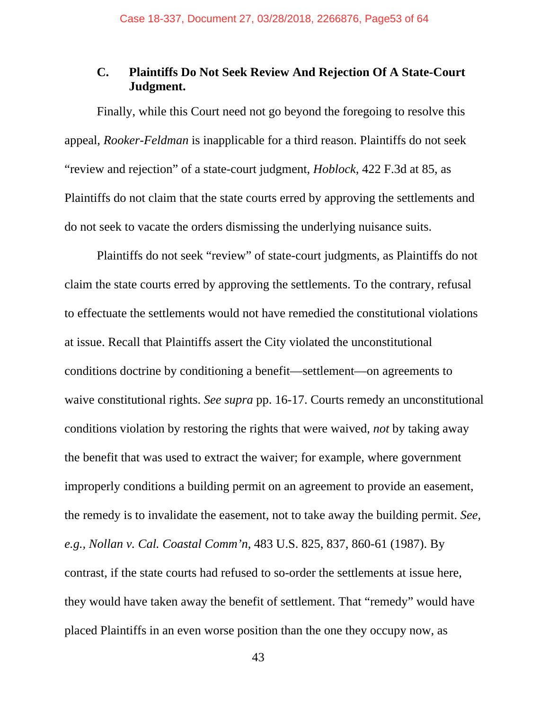## **C. Plaintiffs Do Not Seek Review And Rejection Of A State-Court Judgment.**

Finally, while this Court need not go beyond the foregoing to resolve this appeal, *Rooker-Feldman* is inapplicable for a third reason. Plaintiffs do not seek "review and rejection" of a state-court judgment, *Hoblock*, 422 F.3d at 85, as Plaintiffs do not claim that the state courts erred by approving the settlements and do not seek to vacate the orders dismissing the underlying nuisance suits.

Plaintiffs do not seek "review" of state-court judgments, as Plaintiffs do not claim the state courts erred by approving the settlements. To the contrary, refusal to effectuate the settlements would not have remedied the constitutional violations at issue. Recall that Plaintiffs assert the City violated the unconstitutional conditions doctrine by conditioning a benefit—settlement—on agreements to waive constitutional rights. *See supra* pp. 16-17. Courts remedy an unconstitutional conditions violation by restoring the rights that were waived, *not* by taking away the benefit that was used to extract the waiver; for example, where government improperly conditions a building permit on an agreement to provide an easement, the remedy is to invalidate the easement, not to take away the building permit. *See, e.g., Nollan v. Cal. Coastal Comm'n*, 483 U.S. 825, 837, 860-61 (1987). By contrast, if the state courts had refused to so-order the settlements at issue here, they would have taken away the benefit of settlement. That "remedy" would have placed Plaintiffs in an even worse position than the one they occupy now, as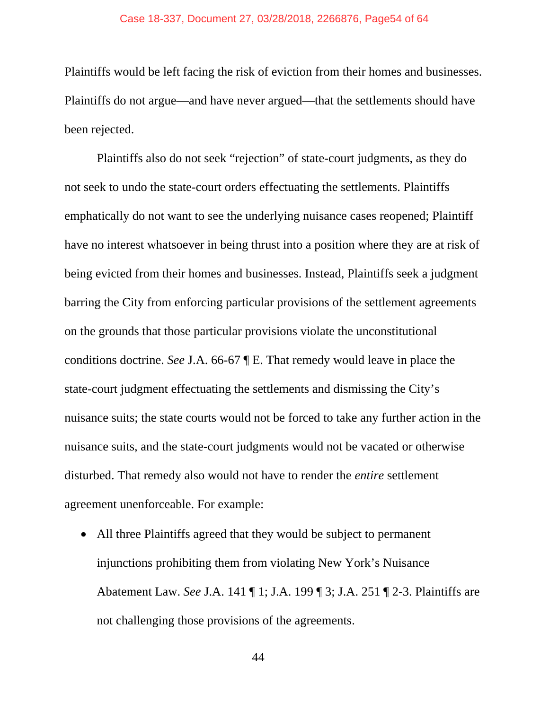Plaintiffs would be left facing the risk of eviction from their homes and businesses. Plaintiffs do not argue—and have never argued—that the settlements should have been rejected.

Plaintiffs also do not seek "rejection" of state-court judgments, as they do not seek to undo the state-court orders effectuating the settlements. Plaintiffs emphatically do not want to see the underlying nuisance cases reopened; Plaintiff have no interest whatsoever in being thrust into a position where they are at risk of being evicted from their homes and businesses. Instead, Plaintiffs seek a judgment barring the City from enforcing particular provisions of the settlement agreements on the grounds that those particular provisions violate the unconstitutional conditions doctrine. *See* J.A. 66-67 ¶ E. That remedy would leave in place the state-court judgment effectuating the settlements and dismissing the City's nuisance suits; the state courts would not be forced to take any further action in the nuisance suits, and the state-court judgments would not be vacated or otherwise disturbed. That remedy also would not have to render the *entire* settlement agreement unenforceable. For example:

 All three Plaintiffs agreed that they would be subject to permanent injunctions prohibiting them from violating New York's Nuisance Abatement Law. *See* J.A. 141 ¶ 1; J.A. 199 ¶ 3; J.A. 251 ¶ 2-3. Plaintiffs are not challenging those provisions of the agreements.

44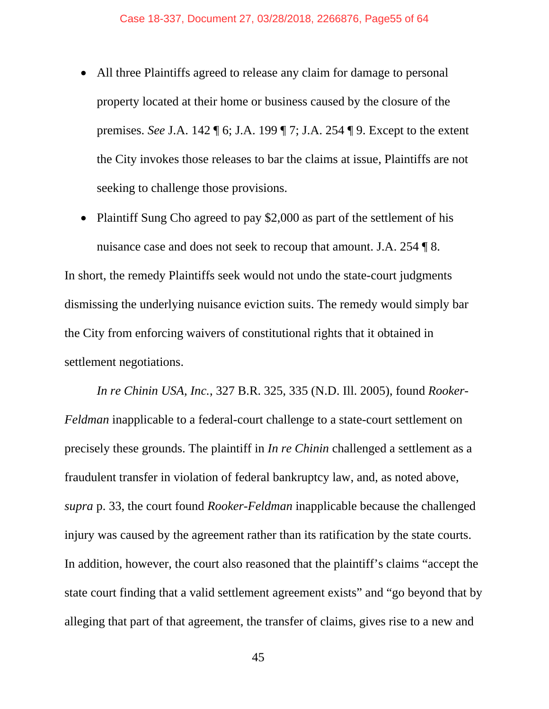- All three Plaintiffs agreed to release any claim for damage to personal property located at their home or business caused by the closure of the premises. *See* J.A. 142 ¶ 6; J.A. 199 ¶ 7; J.A. 254 ¶ 9. Except to the extent the City invokes those releases to bar the claims at issue, Plaintiffs are not seeking to challenge those provisions.
- Plaintiff Sung Cho agreed to pay \$2,000 as part of the settlement of his nuisance case and does not seek to recoup that amount. J.A. 254 ¶ 8.

In short, the remedy Plaintiffs seek would not undo the state-court judgments dismissing the underlying nuisance eviction suits. The remedy would simply bar the City from enforcing waivers of constitutional rights that it obtained in settlement negotiations.

*In re Chinin USA, Inc.*, 327 B.R. 325, 335 (N.D. Ill. 2005), found *Rooker-Feldman* inapplicable to a federal-court challenge to a state-court settlement on precisely these grounds. The plaintiff in *In re Chinin* challenged a settlement as a fraudulent transfer in violation of federal bankruptcy law, and, as noted above, *supra* p. 33, the court found *Rooker-Feldman* inapplicable because the challenged injury was caused by the agreement rather than its ratification by the state courts. In addition, however, the court also reasoned that the plaintiff's claims "accept the state court finding that a valid settlement agreement exists" and "go beyond that by alleging that part of that agreement, the transfer of claims, gives rise to a new and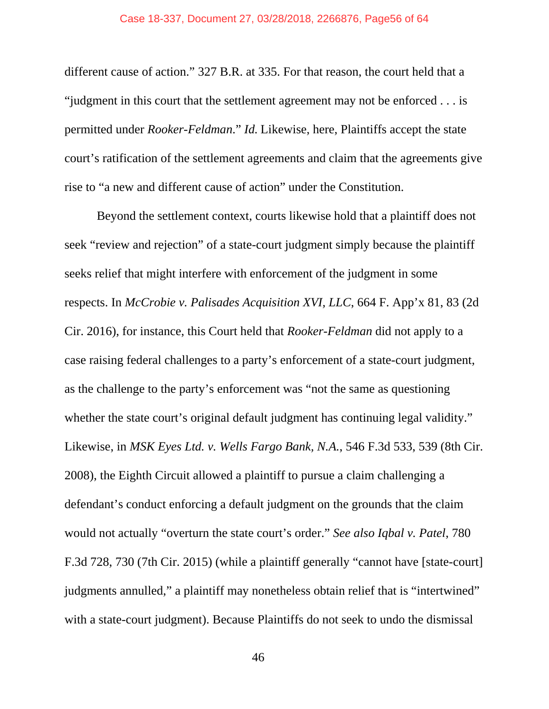different cause of action." 327 B.R. at 335. For that reason, the court held that a "judgment in this court that the settlement agreement may not be enforced . . . is permitted under *Rooker-Feldman*." *Id.* Likewise, here, Plaintiffs accept the state court's ratification of the settlement agreements and claim that the agreements give rise to "a new and different cause of action" under the Constitution.

Beyond the settlement context, courts likewise hold that a plaintiff does not seek "review and rejection" of a state-court judgment simply because the plaintiff seeks relief that might interfere with enforcement of the judgment in some respects. In *McCrobie v. Palisades Acquisition XVI, LLC*, 664 F. App'x 81, 83 (2d Cir. 2016), for instance, this Court held that *Rooker-Feldman* did not apply to a case raising federal challenges to a party's enforcement of a state-court judgment, as the challenge to the party's enforcement was "not the same as questioning whether the state court's original default judgment has continuing legal validity." Likewise, in *MSK Eyes Ltd. v. Wells Fargo Bank, N.A.*, 546 F.3d 533, 539 (8th Cir. 2008), the Eighth Circuit allowed a plaintiff to pursue a claim challenging a defendant's conduct enforcing a default judgment on the grounds that the claim would not actually "overturn the state court's order." *See also Iqbal v. Patel*, 780 F.3d 728, 730 (7th Cir. 2015) (while a plaintiff generally "cannot have [state-court] judgments annulled," a plaintiff may nonetheless obtain relief that is "intertwined" with a state-court judgment). Because Plaintiffs do not seek to undo the dismissal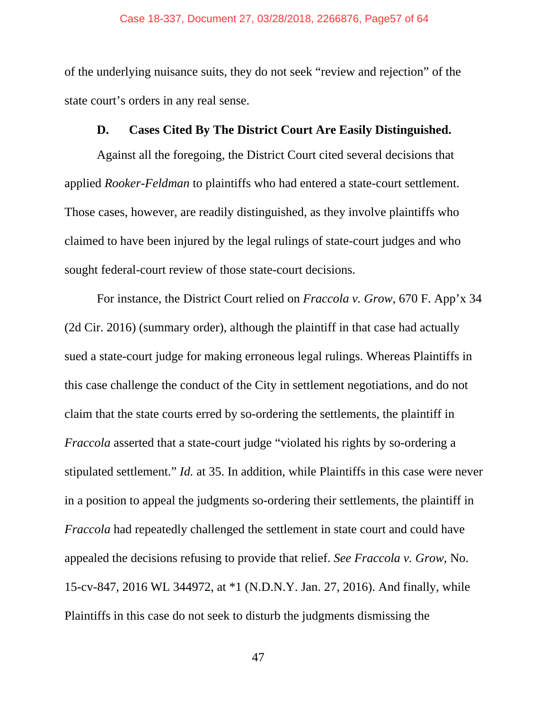of the underlying nuisance suits, they do not seek "review and rejection" of the state court's orders in any real sense.

#### **D. Cases Cited By The District Court Are Easily Distinguished.**

 Against all the foregoing, the District Court cited several decisions that applied *Rooker-Feldman* to plaintiffs who had entered a state-court settlement. Those cases, however, are readily distinguished, as they involve plaintiffs who claimed to have been injured by the legal rulings of state-court judges and who sought federal-court review of those state-court decisions.

 For instance, the District Court relied on *Fraccola v. Grow*, 670 F. App'x 34 (2d Cir. 2016) (summary order), although the plaintiff in that case had actually sued a state-court judge for making erroneous legal rulings. Whereas Plaintiffs in this case challenge the conduct of the City in settlement negotiations, and do not claim that the state courts erred by so-ordering the settlements, the plaintiff in *Fraccola* asserted that a state-court judge "violated his rights by so-ordering a stipulated settlement." *Id.* at 35. In addition, while Plaintiffs in this case were never in a position to appeal the judgments so-ordering their settlements, the plaintiff in *Fraccola* had repeatedly challenged the settlement in state court and could have appealed the decisions refusing to provide that relief. *See Fraccola v. Grow*, No. 15-cv-847, 2016 WL 344972, at \*1 (N.D.N.Y. Jan. 27, 2016). And finally, while Plaintiffs in this case do not seek to disturb the judgments dismissing the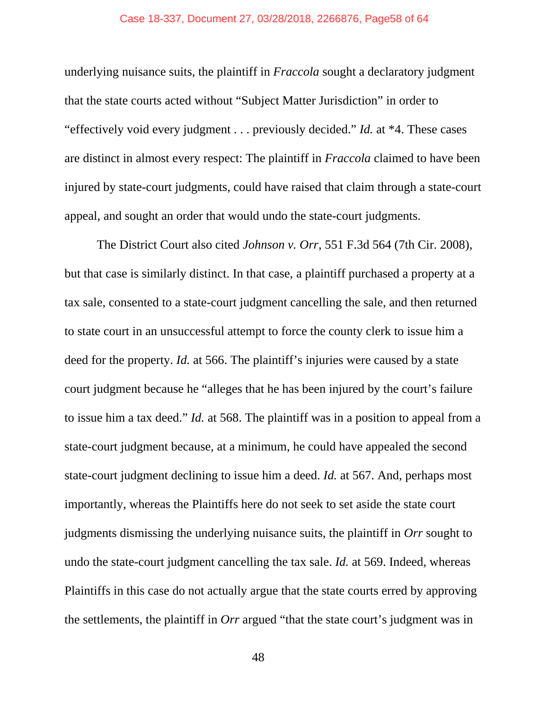#### Case 18-337, Document 27, 03/28/2018, 2266876, Page58 of 64

underlying nuisance suits, the plaintiff in *Fraccola* sought a declaratory judgment that the state courts acted without "Subject Matter Jurisdiction" in order to "effectively void every judgment . . . previously decided." *Id.* at \*4. These cases are distinct in almost every respect: The plaintiff in *Fraccola* claimed to have been injured by state-court judgments, could have raised that claim through a state-court appeal, and sought an order that would undo the state-court judgments.

The District Court also cited *Johnson v. Orr*, 551 F.3d 564 (7th Cir. 2008), but that case is similarly distinct. In that case, a plaintiff purchased a property at a tax sale, consented to a state-court judgment cancelling the sale, and then returned to state court in an unsuccessful attempt to force the county clerk to issue him a deed for the property. *Id.* at 566. The plaintiff's injuries were caused by a state court judgment because he "alleges that he has been injured by the court's failure to issue him a tax deed." *Id.* at 568. The plaintiff was in a position to appeal from a state-court judgment because, at a minimum, he could have appealed the second state-court judgment declining to issue him a deed. *Id.* at 567. And, perhaps most importantly, whereas the Plaintiffs here do not seek to set aside the state court judgments dismissing the underlying nuisance suits, the plaintiff in *Orr* sought to undo the state-court judgment cancelling the tax sale. *Id.* at 569. Indeed, whereas Plaintiffs in this case do not actually argue that the state courts erred by approving the settlements, the plaintiff in *Orr* argued "that the state court's judgment was in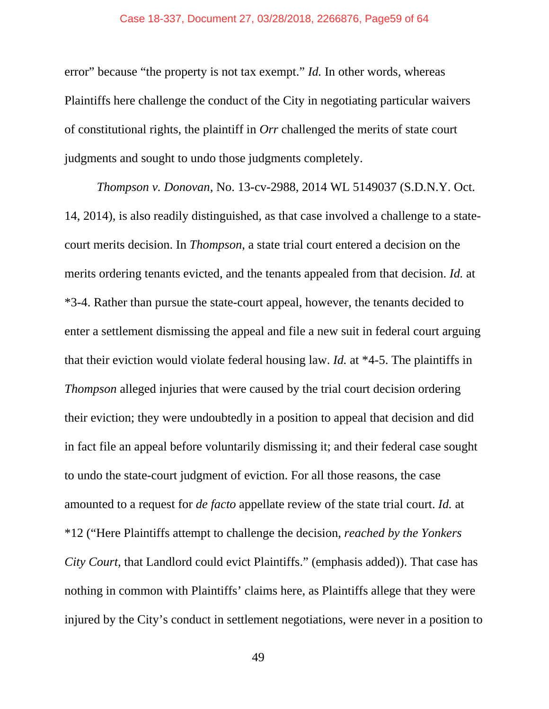#### Case 18-337, Document 27, 03/28/2018, 2266876, Page59 of 64

error" because "the property is not tax exempt." *Id.* In other words, whereas Plaintiffs here challenge the conduct of the City in negotiating particular waivers of constitutional rights, the plaintiff in *Orr* challenged the merits of state court judgments and sought to undo those judgments completely.

*Thompson v. Donovan*, No. 13-cv-2988, 2014 WL 5149037 (S.D.N.Y. Oct. 14, 2014), is also readily distinguished, as that case involved a challenge to a statecourt merits decision. In *Thompson*, a state trial court entered a decision on the merits ordering tenants evicted, and the tenants appealed from that decision. *Id.* at \*3-4. Rather than pursue the state-court appeal, however, the tenants decided to enter a settlement dismissing the appeal and file a new suit in federal court arguing that their eviction would violate federal housing law. *Id.* at \*4-5. The plaintiffs in *Thompson* alleged injuries that were caused by the trial court decision ordering their eviction; they were undoubtedly in a position to appeal that decision and did in fact file an appeal before voluntarily dismissing it; and their federal case sought to undo the state-court judgment of eviction. For all those reasons, the case amounted to a request for *de facto* appellate review of the state trial court. *Id.* at \*12 ("Here Plaintiffs attempt to challenge the decision, *reached by the Yonkers City Court*, that Landlord could evict Plaintiffs." (emphasis added)). That case has nothing in common with Plaintiffs' claims here, as Plaintiffs allege that they were injured by the City's conduct in settlement negotiations, were never in a position to

49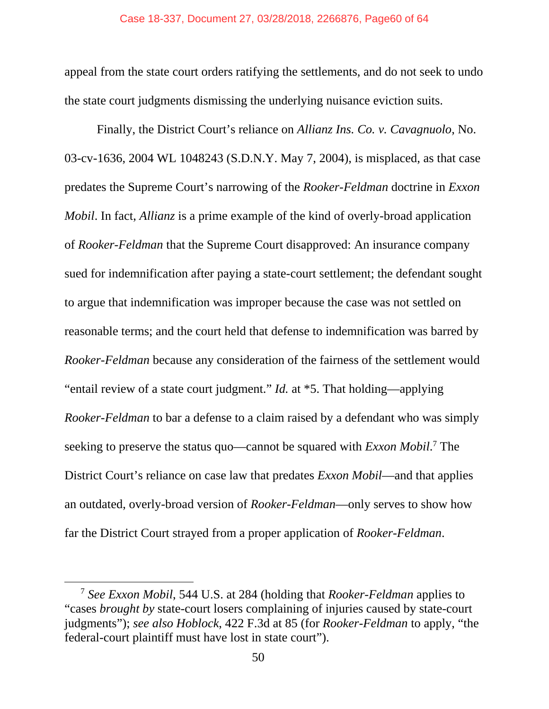appeal from the state court orders ratifying the settlements, and do not seek to undo the state court judgments dismissing the underlying nuisance eviction suits.

Finally, the District Court's reliance on *Allianz Ins. Co. v. Cavagnuolo*, No. 03-cv-1636, 2004 WL 1048243 (S.D.N.Y. May 7, 2004), is misplaced, as that case predates the Supreme Court's narrowing of the *Rooker-Feldman* doctrine in *Exxon Mobil*. In fact, *Allianz* is a prime example of the kind of overly-broad application of *Rooker-Feldman* that the Supreme Court disapproved: An insurance company sued for indemnification after paying a state-court settlement; the defendant sought to argue that indemnification was improper because the case was not settled on reasonable terms; and the court held that defense to indemnification was barred by *Rooker-Feldman* because any consideration of the fairness of the settlement would "entail review of a state court judgment." *Id.* at \*5. That holding—applying *Rooker-Feldman* to bar a defense to a claim raised by a defendant who was simply seeking to preserve the status quo—cannot be squared with *Exxon Mobil*.<sup>7</sup> The District Court's reliance on case law that predates *Exxon Mobil*—and that applies an outdated, overly-broad version of *Rooker-Feldman*—only serves to show how far the District Court strayed from a proper application of *Rooker-Feldman*.

 <sup>7</sup> *See Exxon Mobil*, 544 U.S. at 284 (holding that *Rooker-Feldman* applies to "cases *brought by* state-court losers complaining of injuries caused by state-court judgments"); *see also Hoblock*, 422 F.3d at 85 (for *Rooker-Feldman* to apply, "the federal-court plaintiff must have lost in state court").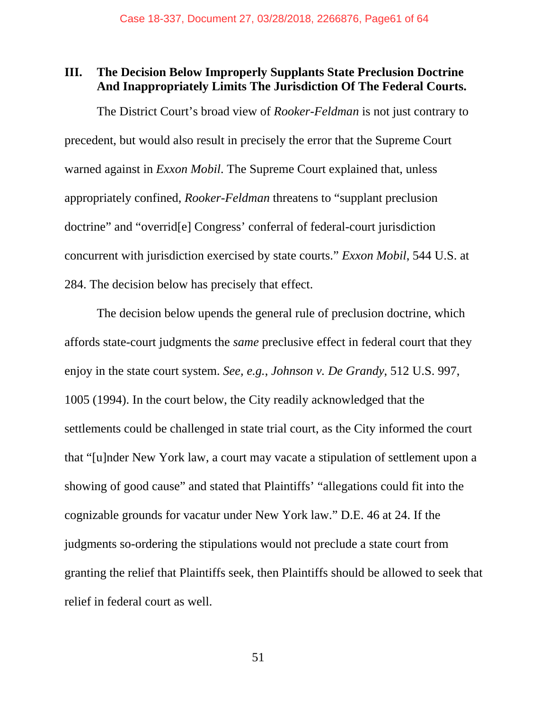## **III. The Decision Below Improperly Supplants State Preclusion Doctrine And Inappropriately Limits The Jurisdiction Of The Federal Courts.**

The District Court's broad view of *Rooker-Feldman* is not just contrary to precedent, but would also result in precisely the error that the Supreme Court warned against in *Exxon Mobil*. The Supreme Court explained that, unless appropriately confined, *Rooker-Feldman* threatens to "supplant preclusion doctrine" and "overrid[e] Congress' conferral of federal-court jurisdiction concurrent with jurisdiction exercised by state courts." *Exxon Mobil*, 544 U.S. at 284. The decision below has precisely that effect.

The decision below upends the general rule of preclusion doctrine, which affords state-court judgments the *same* preclusive effect in federal court that they enjoy in the state court system. *See, e.g.*, *Johnson v. De Grandy*, 512 U.S. 997, 1005 (1994). In the court below, the City readily acknowledged that the settlements could be challenged in state trial court, as the City informed the court that "[u]nder New York law, a court may vacate a stipulation of settlement upon a showing of good cause" and stated that Plaintiffs' "allegations could fit into the cognizable grounds for vacatur under New York law." D.E. 46 at 24. If the judgments so-ordering the stipulations would not preclude a state court from granting the relief that Plaintiffs seek, then Plaintiffs should be allowed to seek that relief in federal court as well.

51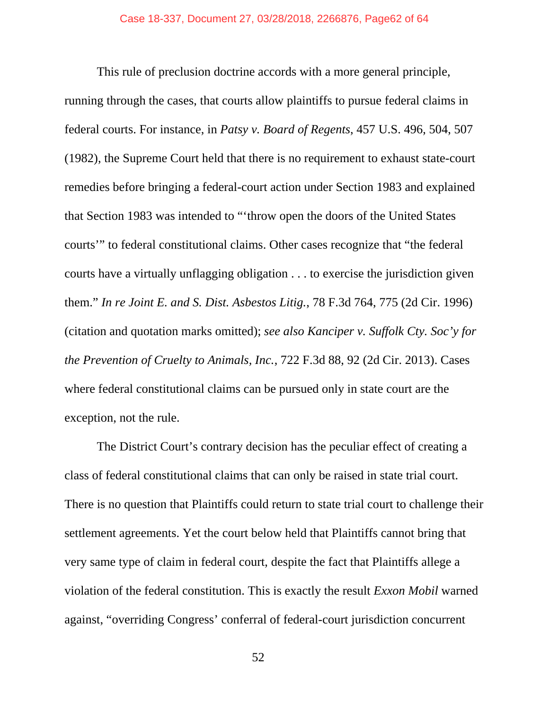This rule of preclusion doctrine accords with a more general principle, running through the cases, that courts allow plaintiffs to pursue federal claims in federal courts. For instance, in *Patsy v. Board of Regents*, 457 U.S. 496, 504, 507 (1982), the Supreme Court held that there is no requirement to exhaust state-court remedies before bringing a federal-court action under Section 1983 and explained that Section 1983 was intended to "'throw open the doors of the United States courts'" to federal constitutional claims. Other cases recognize that "the federal courts have a virtually unflagging obligation . . . to exercise the jurisdiction given them." *In re Joint E. and S. Dist. Asbestos Litig.*, 78 F.3d 764, 775 (2d Cir. 1996) (citation and quotation marks omitted); *see also Kanciper v. Suffolk Cty. Soc'y for the Prevention of Cruelty to Animals, Inc.*, 722 F.3d 88, 92 (2d Cir. 2013). Cases where federal constitutional claims can be pursued only in state court are the exception, not the rule.

The District Court's contrary decision has the peculiar effect of creating a class of federal constitutional claims that can only be raised in state trial court. There is no question that Plaintiffs could return to state trial court to challenge their settlement agreements. Yet the court below held that Plaintiffs cannot bring that very same type of claim in federal court, despite the fact that Plaintiffs allege a violation of the federal constitution. This is exactly the result *Exxon Mobil* warned against, "overriding Congress' conferral of federal-court jurisdiction concurrent

52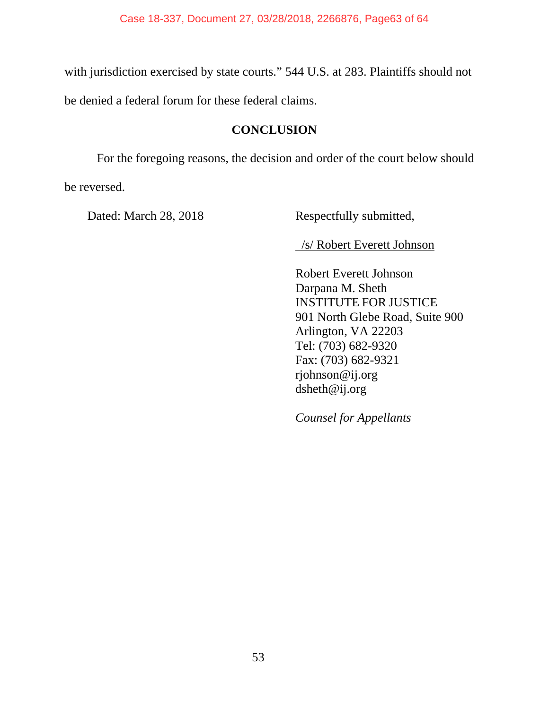with jurisdiction exercised by state courts." 544 U.S. at 283. Plaintiffs should not

be denied a federal forum for these federal claims.

## **CONCLUSION**

For the foregoing reasons, the decision and order of the court below should

be reversed.

Dated: March 28, 2018 Respectfully submitted,

/s/ Robert Everett Johnson

Robert Everett Johnson Darpana M. Sheth INSTITUTE FOR JUSTICE 901 North Glebe Road, Suite 900 Arlington, VA 22203 Tel: (703) 682-9320 Fax: (703) 682-9321 rjohnson@ij.org dsheth@ij.org

*Counsel for Appellants*